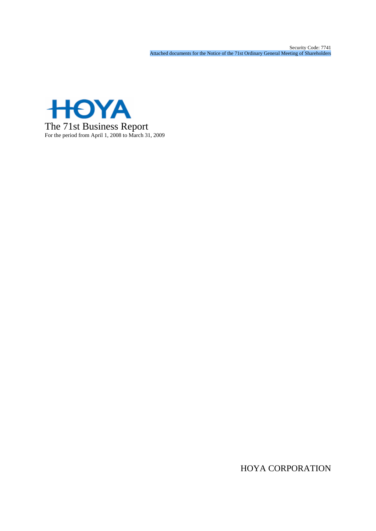Security Code: 7741 Attached documents for the Notice of the 71st Ordinary General Meeting of Shareholders



HOYA CORPORATION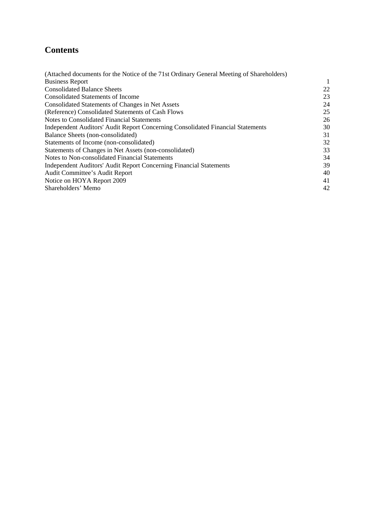# **Contents**

| (Attached documents for the Notice of the 71st Ordinary General Meeting of Shareholders) |    |
|------------------------------------------------------------------------------------------|----|
| <b>Business Report</b>                                                                   |    |
| <b>Consolidated Balance Sheets</b>                                                       | 22 |
| Consolidated Statements of Income                                                        | 23 |
| Consolidated Statements of Changes in Net Assets                                         | 24 |
| (Reference) Consolidated Statements of Cash Flows                                        | 25 |
| <b>Notes to Consolidated Financial Statements</b>                                        | 26 |
| Independent Auditors' Audit Report Concerning Consolidated Financial Statements          | 30 |
| Balance Sheets (non-consolidated)                                                        | 31 |
| Statements of Income (non-consolidated)                                                  | 32 |
| Statements of Changes in Net Assets (non-consolidated)                                   | 33 |
| Notes to Non-consolidated Financial Statements                                           | 34 |
| Independent Auditors' Audit Report Concerning Financial Statements                       | 39 |
| Audit Committee's Audit Report                                                           | 40 |
| Notice on HOYA Report 2009                                                               | 41 |
| Shareholders' Memo                                                                       | 42 |
|                                                                                          |    |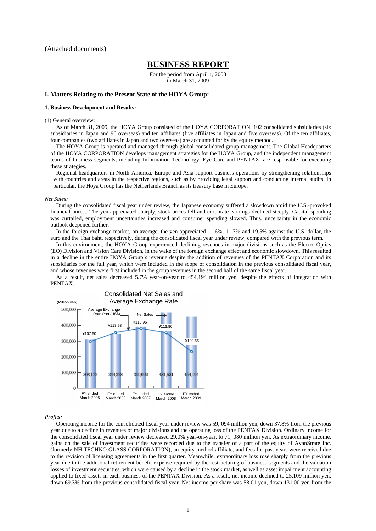### **BUSINESS REPORT**

For the period from April 1, 2008 to March 31, 2009

### **I. Matters Relating to the Present State of the HOYA Group:**

### **1. Business Development and Results:**

### (1) General overview:

As of March 31, 2009, the HOYA Group consisted of the HOYA CORPORATION, 102 consolidated subsidiaries (six subsidiaries in Japan and 96 overseas) and ten affiliates (five affiliates in Japan and five overseas). Of the ten affiliates, four companies (two affiliates in Japan and two overseas) are accounted for by the equity method.

The HOYA Group is operated and managed through global consolidated group management. The Global Headquarters of the HOYA CORPORATION develops management strategies for the HOYA Group, and the independent management teams of business segments, including Information Technology, Eye Care and PENTAX, are responsible for executing these strategies.

Regional headquarters in North America, Europe and Asia support business operations by strengthening relationships with countries and areas in the respective regions, such as by providing legal support and conducting internal audits. In particular, the Hoya Group has the Netherlands Branch as its treasury base in Europe.

### *Net Sales:*

During the consolidated fiscal year under review, the Japanese economy suffered a slowdown amid the U.S.-provoked financial unrest. The yen appreciated sharply, stock prices fell and corporate earnings declined steeply. Capital spending was curtailed, employment uncertainties increased and consumer spending slowed. Thus, uncertainty in the economic outlook deepened further.

In the foreign exchange market, on average, the yen appreciated 11.6%, 11.7% and 19.5% against the U.S. dollar, the euro and the Thai baht, respectively, during the consolidated fiscal year under review, compared with the previous term.

In this environment, the HOYA Group experienced declining revenues in major divisions such as the Electro-Optics (EO) Division and Vision Care Division, in the wake of the foreign exchange effect and economic slowdown. This resulted in a decline in the entire HOYA Group's revenue despite the addition of revenues of the PENTAX Corporation and its subsidiaries for the full year, which were included in the scope of consolidation in the previous consolidated fiscal year, and whose revenues were first included in the group revenues in the second half of the same fiscal year.

As a result, net sales decreased 5.7% year-on-year to 454,194 million yen, despite the effects of integration with PENTAX.



### *Profits:*

Operating income for the consolidated fiscal year under review was 59, 094 million yen, down 37.8% from the previous year due to a decline in revenues of major divisions and the operating loss of the PENTAX Division. Ordinary income for the consolidated fiscal year under review decreased 29.0% year-on-year, to 71, 080 million yen. As extraordinary income, gains on the sale of investment securities were recorded due to the transfer of a part of the equity of AvanStrate Inc. (formerly NH TECHNO GLASS CORPORATION), an equity method affiliate, and fees for past years were received due to the revision of licensing agreements in the first quarter. Meanwhile, extraordinary loss rose sharply from the previous year due to the additional retirement benefit expense required by the restructuring of business segments and the valuation losses of investment securities, which were caused by a decline in the stock market, as well as asset impairment accounting applied to fixed assets in each business of the PENTAX Division. As a result, net income declined to 25,109 million yen, down 69.3% from the previous consolidated fiscal year. Net income per share was 58.01 yen, down 131.00 yen from the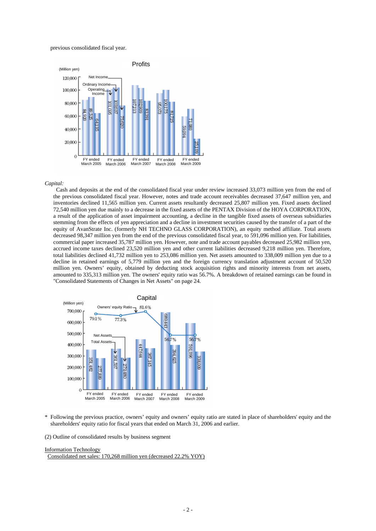previous consolidated fiscal year.



### *Capital:*

Cash and deposits at the end of the consolidated fiscal year under review increased 33,073 million yen from the end of the previous consolidated fiscal year. However, notes and trade account receivables decreased 37,647 million yen, and inventories declined 11,565 million yen. Current assets resultantly decreased 25,807 million yen. Fixed assets declined 72,540 million yen due mainly to a decrease in the fixed assets of the PENTAX Division of the HOYA CORPORATION, a result of the application of asset impairment accounting, a decline in the tangible fixed assets of overseas subsidiaries stemming from the effects of yen appreciation and a decline in investment securities caused by the transfer of a part of the equity of AvanStrate Inc. (formerly NH TECHNO GLASS CORPORATION), an equity method affiliate. Total assets decreased 98,347 million yen from the end of the previous consolidated fiscal year, to 591,096 million yen. For liabilities, commercial paper increased 35,787 million yen. However, note and trade account payables decreased 25,982 million yen, accrued income taxes declined 23,520 million yen and other current liabilities decreased 9,218 million yen. Therefore, total liabilities declined 41,732 million yen to 253,086 million yen. Net assets amounted to 338,009 million yen due to a decline in retained earnings of 5,779 million yen and the foreign currency translation adjustment account of 50,520 million yen. Owners' equity, obtained by deducting stock acquisition rights and minority interests from net assets, amounted to 335,313 million yen. The owners' equity ratio was 56.7%. A breakdown of retained earnings can be found in "Consolidated Statements of Changes in Net Assets" on page 24.



\* Following the previous practice, owners' equity and owners' equity ratio are stated in place of shareholders' equity and the shareholders' equity ratio for fiscal years that ended on March 31, 2006 and earlier.

(2) Outline of consolidated results by business segment

#### Information Technology

Consolidated net sales: 170,268 million yen (decreased 22.2% YOY)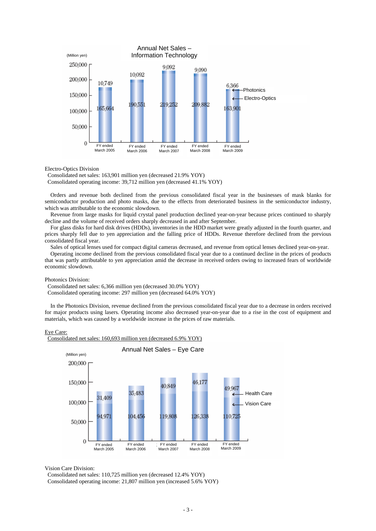

Electro-Optics Division

Consolidated net sales: 163,901 million yen (decreased 21.9% YOY) Consolidated operating income: 39,712 million yen (decreased 41.1% YOY)

Orders and revenue both declined from the previous consolidated fiscal year in the businesses of mask blanks for semiconductor production and photo masks, due to the effects from deteriorated business in the semiconductor industry, which was attributable to the economic slowdown.

Revenue from large masks for liquid crystal panel production declined year-on-year because prices continued to sharply decline and the volume of received orders sharply decreased in and after September.

For glass disks for hard disk drives (HDDs), inventories in the HDD market were greatly adjusted in the fourth quarter, and prices sharply fell due to yen appreciation and the falling price of HDDs. Revenue therefore declined from the previous consolidated fiscal year.

Sales of optical lenses used for compact digital cameras decreased, and revenue from optical lenses declined year-on-year.

Operating income declined from the previous consolidated fiscal year due to a continued decline in the prices of products that was partly attributable to yen appreciation amid the decrease in received orders owing to increased fears of worldwide economic slowdown.

Photonics Division:

Consolidated net sales: 6,366 million yen (decreased 30.0% YOY)

Consolidated operating income: 297 million yen (decreased 64.0% YOY)

In the Photonics Division, revenue declined from the previous consolidated fiscal year due to a decrease in orders received for major products using lasers. Operating income also decreased year-on-year due to a rise in the cost of equipment and materials, which was caused by a worldwide increase in the prices of raw materials.

### Eye Care:

Consolidated net sales: 160,693 million yen (decreased 6.9% YOY)



Vision Care Division:

Consolidated net sales: 110,725 million yen (decreased 12.4% YOY) Consolidated operating income: 21,807 million yen (increased 5.6% YOY)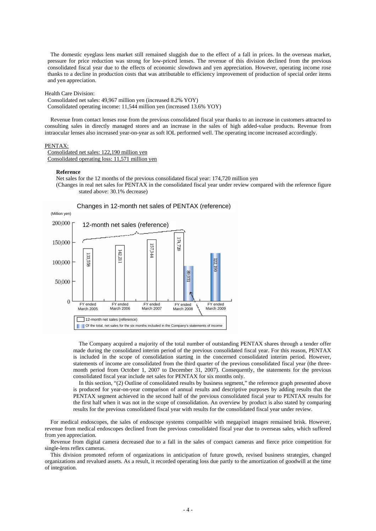The domestic eyeglass lens market still remained sluggish due to the effect of a fall in prices. In the overseas market, pressure for price reduction was strong for low-priced lenses. The revenue of this division declined from the previous consolidated fiscal year due to the effects of economic slowdown and yen appreciation. However, operating income rose thanks to a decline in production costs that was attributable to efficiency improvement of production of special order items and yen appreciation.

Health Care Division:

Consolidated net sales: 49,967 million yen (increased 8.2% YOY) Consolidated operating income: 11,544 million yen (increased 13.6% YOY)

Revenue from contact lenses rose from the previous consolidated fiscal year thanks to an increase in customers attracted to consulting sales in directly managed stores and an increase in the sales of high added-value products. Revenue from intraocular lenses also increased year-on-year as soft IOL performed well. The operating income increased accordingly.

### PENTAX:

Consolidated net sales: 122,190 million yen Consolidated operating loss: 11,571 million yen

### **Reference**

Net sales for the 12 months of the previous consolidated fiscal year: 174,720 million yen (Changes in real net sales for PENTAX in the consolidated fiscal year under review compared with the reference figure stated above: 30.1% decrease)



The Company acquired a majority of the total number of outstanding PENTAX shares through a tender offer made during the consolidated interim period of the previous consolidated fiscal year. For this reason, PENTAX is included in the scope of consolidation starting in the concerned consolidated interim period. However, statements of income are consolidated from the third quarter of the previous consolidated fiscal year (the threemonth period from October 1, 2007 to December 31, 2007). Consequently, the statements for the previous consolidated fiscal year include net sales for PENTAX for six months only.

In this section, "(2) Outline of consolidated results by business segment," the reference graph presented above is produced for year-on-year comparison of annual results and descriptive purposes by adding results that the PENTAX segment achieved in the second half of the previous consolidated fiscal year to PENTAX results for the first half when it was not in the scope of consolidation. An overview by product is also stated by comparing results for the previous consolidated fiscal year with results for the consolidated fiscal year under review.

For medical endoscopes, the sales of endoscope systems compatible with megapixel images remained brisk. However, revenue from medical endoscopes declined from the previous consolidated fiscal year due to overseas sales, which suffered from yen appreciation.

Revenue from digital camera decreased due to a fall in the sales of compact cameras and fierce price competition for single-lens reflex cameras.

This division promoted reform of organizations in anticipation of future growth, revised business strategies, changed organizations and revalued assets. As a result, it recorded operating loss due partly to the amortization of goodwill at the time of integration.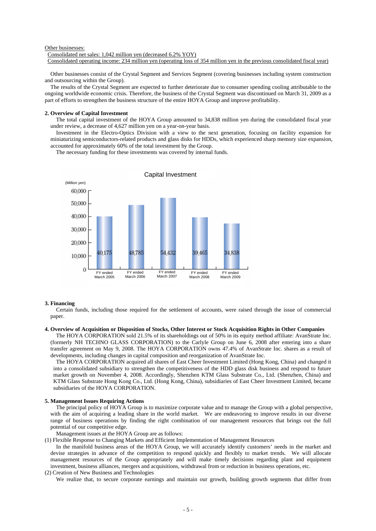### Other businesses:

Consolidated net sales: 1,042 million yen (decreased 6.2% YOY) Consolidated operating income: 234 million yen (operating loss of 354 million yen in the previous consolidated fiscal year)

Other businesses consist of the Crystal Segment and Services Segment (covering businesses including system construction and outsourcing within the Group).

The results of the Crystal Segment are expected to further deteriorate due to consumer spending cooling attributable to the ongoing worldwide economic crisis. Therefore, the business of the Crystal Segment was discontinued on March 31, 2009 as a part of efforts to strengthen the business structure of the entire HOYA Group and improve profitability.

### **2. Overview of Capital Investment**

The total capital investment of the HOYA Group amounted to 34,838 million yen during the consolidated fiscal year under review, a decrease of 4,627 million yen on a year-on-year basis.

Investment in the Electro-Optics Division with a view to the next generation, focusing on facility expansion for miniaturizing semiconductors-related products and glass disks for HDDs, which experienced sharp memory size expansion, accounted for approximately 60% of the total investment by the Group.

The necessary funding for these investments was covered by internal funds.



### **3. Financing**

Certain funds, including those required for the settlement of accounts, were raised through the issue of commercial paper.

#### **4. Overview of Acquisition or Disposition of Stocks, Other Interest or Stock Acquisition Rights in Other Companies**

The HOYA CORPORATION sold 21.5% of its shareholdings out of 50% in its equity method affiliate: AvanStrate Inc. (formerly NH TECHNO GLASS CORPORATION) to the Carlyle Group on June 6, 2008 after entering into a share transfer agreement on May 9, 2008. The HOYA CORPORATION owns 47.4% of AvanStrate Inc. shares as a result of developments, including changes in capital composition and reorganization of AvanStrate Inc.

The HOYA CORPORATION acquired all shares of East Cheer Investment Limited (Hong Kong, China) and changed it into a consolidated subsidiary to strengthen the competitiveness of the HDD glass disk business and respond to future market growth on November 4, 2008. Accordingly, Shenzhen KTM Glass Substrate Co., Ltd. (Shenzhen, China) and KTM Glass Substrate Hong Kong Co., Ltd. (Hong Kong, China), subsidiaries of East Cheer Investment Limited, became subsidiaries of the HOYA CORPORATION.

### **5. Management Issues Requiring Actions**

The principal policy of HOYA Group is to maximize corporate value and to manage the Group with a global perspective, with the aim of acquiring a leading share in the world market. We are endeavoring to improve results in our diverse range of business operations by finding the right combination of our management resources that brings out the full potential of our competitive edge.

Management issues at the HOYA Group are as follows:

(1) Flexible Response to Changing Markets and Efficient Implementation of Management Resources

In the manifold business areas of the HOYA Group, we will accurately identify customers' needs in the market and devise strategies in advance of the competition to respond quickly and flexibly to market trends. We will allocate management resources of the Group appropriately and will make timely decisions regarding plant and equipment investment, business alliances, mergers and acquisitions, withdrawal from or reduction in business operations, etc.

(2) Creation of New Business and Technologies

We realize that, to secure corporate earnings and maintain our growth, building growth segments that differ from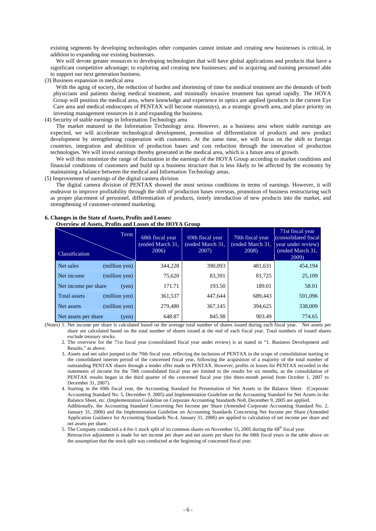existing segments by developing technologies other companies cannot imitate and creating new businesses is critical, in addition to expanding our existing businesses.

We will devote greater resources to developing technologies that will have global applications and products that have a significant competitive advantage; to exploring and creating new businesses; and to acquiring and training personnel able to support our next generation business.

(3) Business expansion in medical area

net assets per share.

With the aging of society, the reduction of burden and shortening of time for medical treatment are the demands of both physicians and patients during medical treatment, and minimally invasive treatment has spread rapidly. The HOYA Group will position the medical area, where knowledge and experience in optics are applied (products in the current Eye Care area and medical endoscopes of PENTAX will become mainstays), as a strategic growth area, and place priority on investing management resources in it and expanding the business.

### (4) Security of stable earnings in Information Technology area

The market matured in the Information Technology area. However, as a business area where stable earnings are expected, we will accelerate technological development, promotion of differentiation of products and new product development by strengthening cooperation with customers. At the same time, we will focus on the shift to foreign countries, integration and abolition of production bases and cost reduction through the innovation of production technologies. We will invest earnings thereby generated in the medical area, which is a future area of growth.

We will thus minimize the range of fluctuation in the earnings of the HOYA Group according to market conditions and financial conditions of customers and build up a business structure that is less likely to be affected by the economy by maintaining a balance between the medical and Information Technology areas.

(5) Improvement of earnings of the digital camera division

The digital camera division of PENTAX showed the most serious conditions in terms of earnings. However, it will endeavor to improve profitability through the shift of production bases overseas, promotion of business restructuring such as proper placement of personnel, differentiation of products, timely introduction of new products into the market, and strengthening of customer-oriented marketing.

### **6. Changes in the State of Assets, Profits and Losses: Overview of Assets, Profits and Losses of the HOYA Group**

| Classification       | Term          | 68th fiscal year<br>(ended March 31,<br>2006) | 69th fiscal year<br>ended March 31,<br>2007) | 70th fiscal year<br>ended March 31,<br>2008) | 71st fiscal year<br>(consolidated fiscal)<br>year under review)<br>(ended March 31,<br>2009) |
|----------------------|---------------|-----------------------------------------------|----------------------------------------------|----------------------------------------------|----------------------------------------------------------------------------------------------|
| Net sales            | (million yen) | 344,228                                       | 390,093                                      | 481,631                                      | 454,194                                                                                      |
| Net income           | (million yen) | 75,620                                        | 83,391                                       | 81,725                                       | 25,109                                                                                       |
| Net income per share | (ven)         | 171.71                                        | 193.50                                       | 189.01                                       | 58.01                                                                                        |
| <b>Total assets</b>  | (million yen) | 361,537                                       | 447,644                                      | 689,443                                      | 591,096                                                                                      |
| Net assets           | (million yen) | 279,480                                       | 367,145                                      | 394,625                                      | 338,009                                                                                      |
| Net assets per share | (yen)         | 648.87                                        | 845.98                                       | 903.49                                       | 774.65                                                                                       |

(Notes) 1. Net income per share is calculated based on the average total number of shares issued during each fiscal year. Net assets per share are calculated based on the total number of shares issued at the end of each fiscal year. Total numbers of issued shares exclude treasury stocks.

2. The overview for the 71st fiscal year (consolidated fiscal year under review) is as stated in "1. Business Development and Results," as above.

3. Assets and net sales jumped in the 70th fiscal year, reflecting the inclusion of PENTAX in the scope of consolidation starting in the consolidated interim period of the concerned fiscal year, following the acquisition of a majority of the total number of outstanding PENTAX shares through a tender offer made to PENTAX. However, profits or losses for PENTAX recorded in the statements of income for the 70th consolidated fiscal year are limited to the results for six months, as the consolidation of PENTAX results began in the third quarter of the concerned fiscal year (the three-month period from October 1, 2007 to December 31, 2007).

4. Starting in the 69th fiscal year, the Accounting Standard for Presentation of Net Assets in the Balance Sheet (Corporate Accounting Standard No. 5, December 9, 2005) and Implementation Guideline on the Accounting Standard for Net Assets in the Balance Sheet, etc. (Implementation Guideline on Corporate Accounting Standards No8, December 9, 2005 are applied. Additionally, the Accounting Standard Concerning Net Income per Share (Amended Corporate Accounting Standard No. 2, January 31, 2006) and the Implementation Guideline on Accounting Standards Concerning Net Income per Share (Amended Application Guidance for Accounting Standards No.4, January 31, 2006) are applied to calculation of net income per share and

5. The Company conducted a 4-for-1 stock split of its common shares on November 15, 2005 during the 68<sup>th</sup> fiscal year.

Retroactive adjustment is made for net income per share and net assets per share for the 68th fiscal years in the table above on the assumption that the stock split was conducted at the beginning of concerned fiscal year.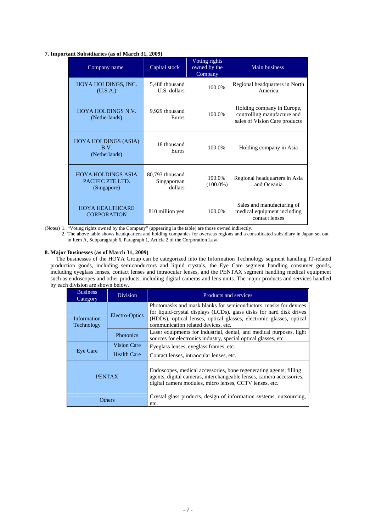### **7. Important Subsidiaries (as of March 31, 2009)**

| Company name                                                 | Capital stock                             | Voting rights<br>owned by the<br>Company | Main business                                                                              |
|--------------------------------------------------------------|-------------------------------------------|------------------------------------------|--------------------------------------------------------------------------------------------|
| HOYA HOLDINGS, INC.<br>(U.S.A.)                              | 5,488 thousand<br>U.S. dollars            | 100.0%                                   | Regional headquarters in North<br>America                                                  |
| HOYA HOLDINGS N.V.<br>(Netherlands)                          | 9,929 thousand<br>100.0%<br>Euros         |                                          | Holding company in Europe,<br>controlling manufacture and<br>sales of Vision Care products |
| <b>HOYA HOLDINGS (ASIA)</b><br>B.V.<br>(Netherlands)         | 18 thousand<br>Euros                      | 100.0%                                   | Holding company in Asia                                                                    |
| <b>HOYA HOLDINGS ASIA</b><br>PACIFIC PTE LTD.<br>(Singapore) | 80,793 thousand<br>Singaporean<br>dollars | 100.0%<br>$(100.0\%)$                    | Regional headquarters in Asia<br>and Oceania                                               |
| <b>HOYA HEALTHCARE</b><br><b>CORPORATION</b>                 | 810 million yen                           | 100.0%                                   | Sales and manufacturing of<br>medical equipment including<br>contact lenses                |

(Notes) 1. "Voting rights owned by the Company" (appearing in the table) are those owned indirectly.

2. The above table shows headquarters and holding companies for overseas regions and a consolidated subsidiary in Japan set out in Item A, Subparagraph 6, Paragraph 1, Article 2 of the Corporation Law.

### **8. Major Businesses (as of March 31, 2009)**

The businesses of the HOYA Group can be categorized into the Information Technology segment handling IT-related production goods, including semiconductors and liquid crystals, the Eye Care segment handling consumer goods, including eyeglass lenses, contact lenses and intraocular lenses, and the PENTAX segment handling medical equipment such as endoscopes and other products, including digital cameras and lens units. The major products and services handled by each division are shown below.

| <b>Business</b><br>Category                 | <b>Division</b>    | Products and services                                                                                                                                                                                                                                   |
|---------------------------------------------|--------------------|---------------------------------------------------------------------------------------------------------------------------------------------------------------------------------------------------------------------------------------------------------|
| Electro-Optics<br>Information<br>Technology |                    | Photomasks and mask blanks for semiconductors, masks for devices<br>for liquid-crystal displays (LCDs), glass disks for hard disk drives<br>(HDDs), optical lenses, optical glasses, electronic glasses, optical<br>communication related devices, etc. |
|                                             | Photonics          | Laser equipments for industrial, dental, and medical purposes, light<br>sources for electronics industry, special optical glasses, etc.                                                                                                                 |
| <b>Vision Care</b>                          |                    | Eyeglass lenses, eyeglass frames, etc.                                                                                                                                                                                                                  |
| Eye Care                                    | <b>Health Care</b> | Contact lenses, intraocular lenses, etc.                                                                                                                                                                                                                |
| <b>PENTAX</b>                               |                    | Endoscopes, medical accessories, bone regenerating agents, filling<br>agents, digital cameras, interchangeable lenses, camera accessories,<br>digital camera modules, micro lenses, CCTV lenses, etc.                                                   |
| Others                                      |                    | Crystal glass products, design of information systems, outsourcing,<br>etc.                                                                                                                                                                             |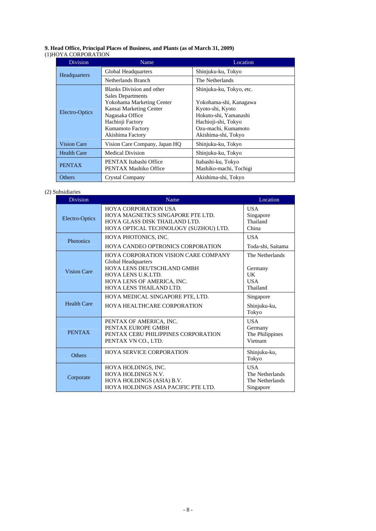### **9. Head Office, Principal Places of Business, and Plants (as of March 31, 2009)** (1)HOYA CORPORATION

|                                                                                                                                                                                                 | <b>Division</b>    | Name                                            | Location                                                                                                                                                             |
|-------------------------------------------------------------------------------------------------------------------------------------------------------------------------------------------------|--------------------|-------------------------------------------------|----------------------------------------------------------------------------------------------------------------------------------------------------------------------|
|                                                                                                                                                                                                 | Headquarters       | Global Headquarters                             | Shinjuku-ku, Tokyo                                                                                                                                                   |
|                                                                                                                                                                                                 |                    | Netherlands Branch                              | The Netherlands                                                                                                                                                      |
| <b>Blanks Division and other</b><br><b>Sales Departments</b><br>Kansai Marketing Center<br>Electro-Optics<br>Nagasaka Office<br>Hachioji Factory<br><b>Kumamoto Factory</b><br>Akishima Factory |                    | Yokohama Marketing Center                       | Shinjuku-ku, Tokyo, etc.<br>Yokohama-shi, Kanagawa<br>Kyoto-shi, Kyoto<br>Hokuto-shi, Yamanashi<br>Hachioji-shi, Tokyo<br>Ozu-machi, Kumamoto<br>Akishima-shi, Tokyo |
|                                                                                                                                                                                                 | <b>Vision Care</b> | Vision Care Company, Japan HQ                   | Shinjuku-ku, Tokyo                                                                                                                                                   |
|                                                                                                                                                                                                 | <b>Health Care</b> | <b>Medical Division</b>                         | Shinjuku-ku, Tokyo                                                                                                                                                   |
|                                                                                                                                                                                                 | <b>PENTAX</b>      | PENTAX Itabashi Office<br>PENTAX Mashiko Office | Itabashi-ku, Tokyo<br>Mashiko-machi, Tochigi                                                                                                                         |
|                                                                                                                                                                                                 | <b>Others</b>      | Crystal Company                                 | Akishima-shi, Tokyo                                                                                                                                                  |

### (2) Subsidiaries

| <b>Division</b>    | Name                                                                                                                                                                            | Location                                                      |
|--------------------|---------------------------------------------------------------------------------------------------------------------------------------------------------------------------------|---------------------------------------------------------------|
| Electro-Optics     | <b>HOYA CORPORATION USA</b><br>HOYA MAGNETICS SINGAPORE PTE LTD.<br>HOYA GLASS DISK THAILAND LTD.<br>HOYA OPTICAL TECHNOLOGY (SUZHOU) LTD.                                      | <b>USA</b><br>Singapore<br>Thailand<br>China                  |
| Photonics          | HOYA PHOTONICS, INC.<br><b>HOYA CANDEO OPTRONICS CORPORATION</b>                                                                                                                | <b>USA</b><br>Toda-shi, Saitama                               |
| <b>Vision Care</b> | HOYA CORPORATION VISION CARE COMPANY<br>Global Headquarters<br>HOYA LENS DEUTSCHLAND GMBH<br><b>HOYA LENS U.K.LTD.</b><br>HOYA LENS OF AMERICA, INC.<br>HOYA LENS THAILAND LTD. | The Netherlands<br>Germany<br>UK<br><b>USA</b><br>Thailand    |
| <b>Health Care</b> | HOYA MEDICAL SINGAPORE PTE, LTD.<br>HOYA HEALTHCARE CORPORATION                                                                                                                 | Singapore<br>Shinjuku-ku,<br>Tokyo                            |
| <b>PENTAX</b>      | PENTAX OF AMERICA. INC.<br>PENTAX EUROPE GMBH<br>PENTAX CEBU PHILIPPINES CORPORATION<br>PENTAX VN CO., LTD.                                                                     | <b>USA</b><br>Germany<br>The Philippines<br>Vietnam           |
| <b>Others</b>      | <b>HOYA SERVICE CORPORATION</b>                                                                                                                                                 | Shinjuku-ku,<br>Tokyo                                         |
| Corporate          | HOYA HOLDINGS, INC.<br>HOYA HOLDINGS N.V.<br>HOYA HOLDINGS (ASIA) B.V.<br>HOYA HOLDINGS ASIA PACIFIC PTE LTD.                                                                   | <b>USA</b><br>The Netherlands<br>The Netherlands<br>Singapore |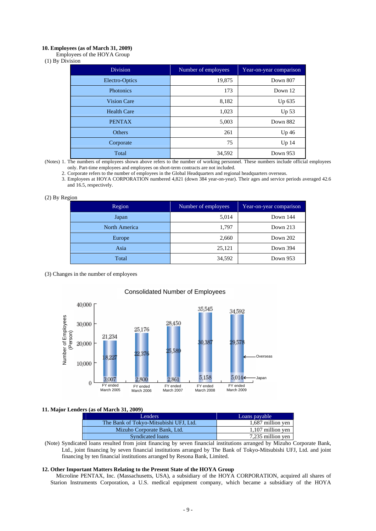### **10. Employees (as of March 31, 2009)**

Employees of the HOYA Group

<sup>(1)</sup> By Division

| <b>Division</b>    | Number of employees | Year-on-year comparison |
|--------------------|---------------------|-------------------------|
| Electro-Optics     | 19,875              | Down 807                |
| Photonics          | 173                 | Down 12                 |
| <b>Vision Care</b> | 8,182               | Up 635                  |
| <b>Health Care</b> | 1,023               | Up <sub>53</sub>        |
| <b>PENTAX</b>      | 5,003               | Down 882                |
| Others             | 261                 | Up 46                   |
| Corporate          | 75                  | Up <sub>14</sub>        |
| Total              | 34,592              | Down 953                |

(Notes) 1. The numbers of employees shown above refers to the number of working personnel. These numbers include official employees only. Part-time employees and employees on short-term contracts are not included.

2. Corporate refers to the number of employees in the Global Headquarters and regional headquarters overseas.

3. Employees at HOYA CORPORATION numbered 4,821 (down 384 year-on-year). Their ages and service periods averaged 42.6 and 16.5, respectively.

### (2) By Region

| Region        | Number of employees | Year-on-year comparison |
|---------------|---------------------|-------------------------|
| Japan         | 5,014               | Down 144                |
| North America | 1,797               | Down $213$              |
| Europe        | 2,660               | Down 202                |
| Asia          | 25,121              | Down 394                |
| Total         | 34,592              | Down 953                |

(3) Changes in the number of employees



### Consolidated Number of Employees

### **11. Major Lenders (as of March 31, 2009)**

| Lenders                                | Loans payable     |
|----------------------------------------|-------------------|
| The Bank of Tokyo-Mitsubishi UFJ, Ltd. | 1,687 million yen |
| Mizuho Corporate Bank, Ltd.            | 1,107 million yen |
| Syndicated loans                       | 7,235 million yen |

(Note) Syndicated loans resulted from joint financing by seven financial institutions arranged by Mizuho Corporate Bank, Ltd., joint financing by seven financial institutions arranged by The Bank of Tokyo-Mitsubishi UFJ, Ltd. and joint financing by ten financial institutions arranged by Resona Bank, Limited.

### **12. Other Important Matters Relating to the Present State of the HOYA Group**

Microline PENTAX, Inc. (Massachusetts, USA), a subsidiary of the HOYA CORPORATION, acquired all shares of Starion Instruments Corporation, a U.S. medical equipment company, which became a subsidiary of the HOYA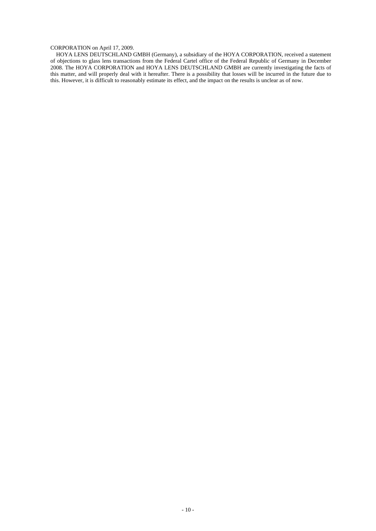### CORPORATION on April 17, 2009.

HOYA LENS DEUTSCHLAND GMBH (Germany), a subsidiary of the HOYA CORPORATION, received a statement of objections to glass lens transactions from the Federal Cartel office of the Federal Republic of Germany in December 2008. The HOYA CORPORATION and HOYA LENS DEUTSCHLAND GMBH are currently investigating the facts of this matter, and will properly deal with it hereafter. There is a possibility that losses will be incurred in the future due to this. However, it is difficult to reasonably estimate its effect, and the impact on the results is unclear as of now.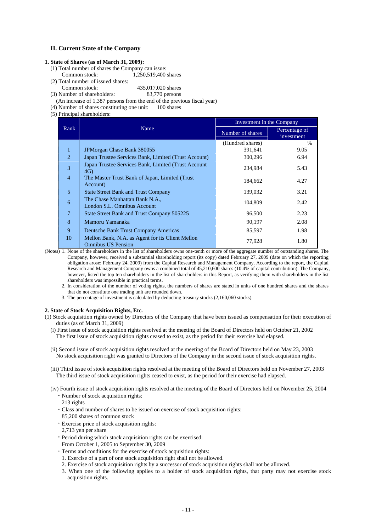### **II. Current State of the Company**

### **1. State of Shares (as of March 31, 2009):**

- (1) Total number of shares the Company can issue:
- Common stock: 1,250,519,400 shares
- (2) Total number of issued shares:
- 435,017,020 shares<br>83.770 persons (3) Number of shareholders:

(An increase of 1,387 persons from the end of the previous fiscal year)

- (4) Number of shares constituting one unit: 100 shares
- (5) Principal shareholders:

|                |                                                                               | Investment in the Company |                             |
|----------------|-------------------------------------------------------------------------------|---------------------------|-----------------------------|
| Rank           | Name                                                                          | Number of shares          | Percentage of<br>investment |
|                |                                                                               | (Hundred shares)          | $\frac{0}{0}$               |
| $\mathbf{1}$   | <b>JPMorgan Chase Bank 380055</b>                                             | 391,641                   | 9.05                        |
| 2              | Japan Trustee Services Bank, Limited (Trust Account)                          | 300,296                   | 6.94                        |
| 3              | Japan Trustee Services Bank, Limited (Trust Account<br>4G)                    | 234,984                   | 5.43                        |
| $\overline{4}$ | The Master Trust Bank of Japan, Limited (Trust)<br>Account)                   | 184,662                   | 4.27                        |
| 5              | <b>State Street Bank and Trust Company</b>                                    | 139,032                   | 3.21                        |
| 6              | The Chase Manhattan Bank N.A.,<br>London S.L. Omnibus Account                 | 104,809                   | 2.42                        |
| $\overline{7}$ | State Street Bank and Trust Company 505225                                    | 96,500                    | 2.23                        |
| 8              | Mamoru Yamanaka                                                               | 90,197                    | 2.08                        |
| 9              | Deutsche Bank Trust Company Americas                                          | 85,597                    | 1.98                        |
| 10             | Mellon Bank, N.A. as Agent for its Client Mellon<br><b>Omnibus US Pension</b> | 77,928                    | 1.80                        |

(Notes) 1. None of the shareholders in the list of shareholders owns one-tenth or more of the aggregate number of outstanding shares. The Company, however, received a substantial shareholding report (its copy) dated February 27, 2009 (date on which the reporting obligation arose: February 24, 2009) from the Capital Research and Management Company. According to the report, the Capital Research and Management Company owns a combined total of 45,210,600 shares (10.4% of capital contribution). The Company, however, listed the top ten shareholders in the list of shareholders in this Report, as verifying them with shareholders in the list shareholders was impossible in practical terms.

2. In consideration of the number of voting rights, the numbers of shares are stated in units of one hundred shares and the shares that do not constitute one trading unit are rounded down.

3. The percentage of investment is calculated by deducting treasury stocks (2,160,060 stocks).

### **2. State of Stock Acquisition Rights, Etc.**

- (1) Stock acquisition rights owned by Directors of the Company that have been issued as compensation for their execution of duties (as of March 31, 2009)
	- (i) First issue of stock acquisition rights resolved at the meeting of the Board of Directors held on October 21, 2002 The first issue of stock acquisition rights ceased to exist, as the period for their exercise had elapsed.
	- (ii) Second issue of stock acquisition rights resolved at the meeting of the Board of Directors held on May 23, 2003 No stock acquisition right was granted to Directors of the Company in the second issue of stock acquisition rights.
	- (iii) Third issue of stock acquisition rights resolved at the meeting of the Board of Directors held on November 27, 2003 The third issue of stock acquisition rights ceased to exist, as the period for their exercise had elapsed.
	- (iv) Fourth issue of stock acquisition rights resolved at the meeting of the Board of Directors held on November 25, 2004 ・Number of stock acquisition rights:
		- 213 rights
		- ・Class and number of shares to be issued on exercise of stock acquisition rights: 85,200 shares of common stock
		- ・Exercise price of stock acquisition rights:
		- 2,713 yen per share
		- ・Period during which stock acquisition rights can be exercised:
		- From October 1, 2005 to September 30, 2009
		- ・Terms and conditions for the exercise of stock acquisition rights:
		- 1. Exercise of a part of one stock acquisition right shall not be allowed.
		- 2. Exercise of stock acquisition rights by a successor of stock acquisition rights shall not be allowed.
		- 3. When one of the following applies to a holder of stock acquisition rights, that party may not exercise stock acquisition rights.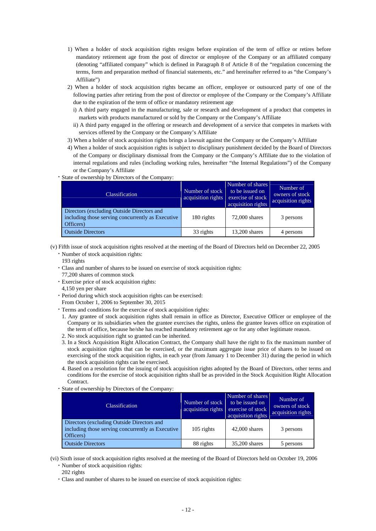- 1) When a holder of stock acquisition rights resigns before expiration of the term of office or retires before mandatory retirement age from the post of director or employee of the Company or an affiliated company (denoting "affiliated company" which is defined in Paragraph 8 of Article 8 of the "regulation concerning the terms, form and preparation method of financial statements, etc." and hereinafter referred to as "the Company's Affiliate")
- 2) When a holder of stock acquisition rights became an officer, employee or outsourced party of one of the following parties after retiring from the post of director or employee of the Company or the Company's Affiliate due to the expiration of the term of office or mandatory retirement age
	- i) A third party engaged in the manufacturing, sale or research and development of a product that competes in markets with products manufactured or sold by the Company or the Company's Affiliate
	- ii) A third party engaged in the offering or research and development of a service that competes in markets with services offered by the Company or the Company's Affiliate
- 3) When a holder of stock acquisition rights brings a lawsuit against the Company or the Company's Affiliate
- 4) When a holder of stock acquisition rights is subject to disciplinary punishment decided by the Board of Directors of the Company or disciplinary dismissal from the Company or the Company's Affiliate due to the violation of internal regulations and rules (including working rules, hereinafter "the Internal Regulations") of the Company or the Company's Affiliate

### ・State of ownership by Directors of the Company:

| <b>Classification</b>                                                                                        | Number of stock<br>acquisition rights | Number of shares<br>to be issued on<br>exercise of stock<br>acquisition rights | Number of<br>owners of stock<br>acquisition rights |
|--------------------------------------------------------------------------------------------------------------|---------------------------------------|--------------------------------------------------------------------------------|----------------------------------------------------|
| Directors (excluding Outside Directors and<br>including those serving concurrently as Executive<br>Officers) | 180 rights                            | $72,000$ shares                                                                | 3 persons                                          |
| <b>Outside Directors</b>                                                                                     | 33 rights                             | 13,200 shares                                                                  | 4 persons                                          |

(v) Fifth issue of stock acquisition rights resolved at the meeting of the Board of Directors held on December 22, 2005 ・Number of stock acquisition rights:

193 rights

- ・Class and number of shares to be issued on exercise of stock acquisition rights:
- 77,200 shares of common stock
- ・Exercise price of stock acquisition rights:
- 4,150 yen per share
- ・Period during which stock acquisition rights can be exercised:
- From October 1, 2006 to September 30, 2015
- ・Terms and conditions for the exercise of stock acquisition rights:
- 1. Any grantee of stock acquisition rights shall remain in office as Director, Executive Officer or employee of the Company or its subsidiaries when the grantee exercises the rights, unless the grantee leaves office on expiration of the term of office, because he/she has reached mandatory retirement age or for any other legitimate reason.
- 2. No stock acquisition right so granted can be inherited.
- 3. In a Stock Acquisition Right Allocation Contract, the Company shall have the right to fix the maximum number of stock acquisition rights that can be exercised, or the maximum aggregate issue price of shares to be issued on exercising of the stock acquisition rights, in each year (from January 1 to December 31) during the period in which the stock acquisition rights can be exercised.
- 4. Based on a resolution for the issuing of stock acquisition rights adopted by the Board of Directors, other terms and conditions for the exercise of stock acquisition rights shall be as provided in the Stock Acquisition Right Allocation **Contract.**
- State of ownership by Directors of the Company:

| <b>Classification</b>                                                                                        | Number of stock | Number of shares<br>to be issued on<br>acquisition rights exercise of stock<br>acquisition rights | Number of<br>owners of stock<br>acquisition rights |
|--------------------------------------------------------------------------------------------------------------|-----------------|---------------------------------------------------------------------------------------------------|----------------------------------------------------|
| Directors (excluding Outside Directors and<br>including those serving concurrently as Executive<br>Officers) | $105$ rights    | $42,000$ shares                                                                                   | 3 persons                                          |
| <b>Outside Directors</b>                                                                                     | 88 rights       | 35,200 shares                                                                                     | 5 persons                                          |

(vi) Sixth issue of stock acquisition rights resolved at the meeting of the Board of Directors held on October 19, 2006 ・Number of stock acquisition rights:

- 202 rights
- ・Class and number of shares to be issued on exercise of stock acquisition rights: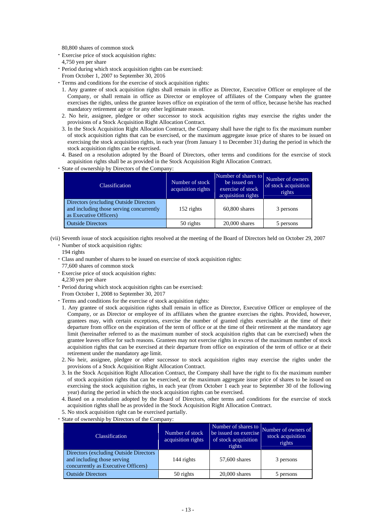80,800 shares of common stock

- ・Exercise price of stock acquisition rights: 4,750 yen per share
- ・Period during which stock acquisition rights can be exercised: From October 1, 2007 to September 30, 2016
- ・Terms and conditions for the exercise of stock acquisition rights:
	- 1. Any grantee of stock acquisition rights shall remain in office as Director, Executive Officer or employee of the Company, or shall remain in office as Director or employee of affiliates of the Company when the grantee exercises the rights, unless the grantee leaves office on expiration of the term of office, because he/she has reached mandatory retirement age or for any other legitimate reason.
	- 2. No heir, assignee, pledgee or other successor to stock acquisition rights may exercise the rights under the provisions of a Stock Acquisition Right Allocation Contract.
	- 3. In the Stock Acquisition Right Allocation Contract, the Company shall have the right to fix the maximum number of stock acquisition rights that can be exercised, or the maximum aggregate issue price of shares to be issued on exercising the stock acquisition rights, in each year (from January 1 to December 31) during the period in which the stock acquisition rights can be exercised.
- 4. Based on a resolution adopted by the Board of Directors, other terms and conditions for the exercise of stock acquisition rights shall be as provided in the Stock Acquisition Right Allocation Contract.
- State of ownership by Directors of the Company:

| <b>Classification</b>                                                                                         | Number of stock<br>acquisition rights | Number of shares to<br>be issued on<br>exercise of stock<br>acquisition rights | Number of owners<br>of stock acquisition<br>rights |
|---------------------------------------------------------------------------------------------------------------|---------------------------------------|--------------------------------------------------------------------------------|----------------------------------------------------|
| Directors (excluding Outside Directors)<br>and including those serving concurrently<br>as Executive Officers) | 152 rights                            | $60,800$ shares                                                                | 3 persons                                          |
| <b>Outside Directors</b>                                                                                      | 50 rights                             | $20,000$ shares                                                                | 5 persons                                          |

(vii) Seventh issue of stock acquisition rights resolved at the meeting of the Board of Directors held on October 29, 2007

- ・Number of stock acquisition rights:
- 194 rights
- ・Class and number of shares to be issued on exercise of stock acquisition rights:
- 77,600 shares of common stock
- ・Exercise price of stock acquisition rights: 4,230 yen per share
- ・Period during which stock acquisition rights can be exercised:
- From October 1, 2008 to September 30, 2017
- ・Terms and conditions for the exercise of stock acquisition rights:
	- 1. Any grantee of stock acquisition rights shall remain in office as Director, Executive Officer or employee of the Company, or as Director or employee of its affiliates when the grantee exercises the rights. Provided, however, grantees may, with certain exceptions, exercise the number of granted rights exercisable at the time of their departure from office on the expiration of the term of office or at the time of their retirement at the mandatory age limit (hereinafter referred to as the maximum number of stock acquisition rights that can be exercised) when the grantee leaves office for such reasons. Grantees may not exercise rights in excess of the maximum number of stock acquisition rights that can be exercised at their departure from office on expiration of the term of office or at their retirement under the mandatory age limit.
	- 2. No heir, assignee, pledgee or other successor to stock acquisition rights may exercise the rights under the provisions of a Stock Acquisition Right Allocation Contract.
	- 3. In the Stock Acquisition Right Allocation Contract, the Company shall have the right to fix the maximum number of stock acquisition rights that can be exercised, or the maximum aggregate issue price of shares to be issued on exercising the stock acquisition rights, in each year (from October 1 each year to September 30 of the following year) during the period in which the stock acquisition rights can be exercised.
	- 4. Based on a resolution adopted by the Board of Directors, other terms and conditions for the exercise of stock acquisition rights shall be as provided in the Stock Acquisition Right Allocation Contract.
- 5. No stock acquisition right can be exercised partially. ・State of ownership by Directors of the Company:

| <b>Classification</b>                                                                                         | Number of stock<br>acquisition rights | Number of shares to<br>be issued on exercise<br>of stock acquisition<br>rights | Number of owners of<br>stock acquisition<br>rights |
|---------------------------------------------------------------------------------------------------------------|---------------------------------------|--------------------------------------------------------------------------------|----------------------------------------------------|
| Directors (excluding Outside Directors)<br>and including those serving<br>concurrently as Executive Officers) | 144 rights                            | 57,600 shares                                                                  | 3 persons                                          |
| <b>Outside Directors</b>                                                                                      | 50 rights                             | $20,000$ shares                                                                | 5 persons                                          |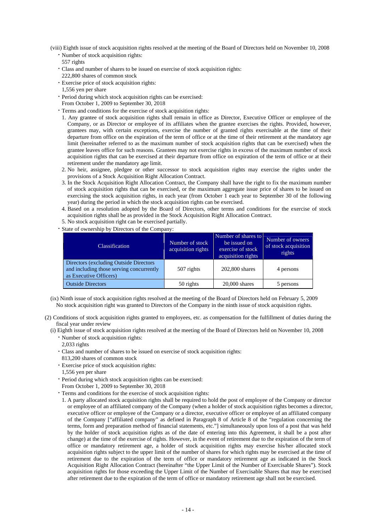(viii) Eighth issue of stock acquisition rights resolved at the meeting of the Board of Directors held on November 10, 2008 ・Number of stock acquisition rights:

557 rights

- ・Class and number of shares to be issued on exercise of stock acquisition rights: 222,800 shares of common stock
- ・Exercise price of stock acquisition rights:
- 1,556 yen per share
- ・Period during which stock acquisition rights can be exercised:
- From October 1, 2009 to September 30, 2018
- ・Terms and conditions for the exercise of stock acquisition rights:
	- 1. Any grantee of stock acquisition rights shall remain in office as Director, Executive Officer or employee of the Company, or as Director or employee of its affiliates when the grantee exercises the rights. Provided, however, grantees may, with certain exceptions, exercise the number of granted rights exercisable at the time of their departure from office on the expiration of the term of office or at the time of their retirement at the mandatory age limit (hereinafter referred to as the maximum number of stock acquisition rights that can be exercised) when the grantee leaves office for such reasons. Grantees may not exercise rights in excess of the maximum number of stock acquisition rights that can be exercised at their departure from office on expiration of the term of office or at their retirement under the mandatory age limit.
- 2. No heir, assignee, pledgee or other successor to stock acquisition rights may exercise the rights under the provisions of a Stock Acquisition Right Allocation Contract.
- 3. In the Stock Acquisition Right Allocation Contract, the Company shall have the right to fix the maximum number of stock acquisition rights that can be exercised, or the maximum aggregate issue price of shares to be issued on exercising the stock acquisition rights, in each year (from October 1 each year to September 30 of the following year) during the period in which the stock acquisition rights can be exercised.
- 4. Based on a resolution adopted by the Board of Directors, other terms and conditions for the exercise of stock acquisition rights shall be as provided in the Stock Acquisition Right Allocation Contract.
- 5. No stock acquisition right can be exercised partially.
- ・State of ownership by Directors of the Company:

| <b>Classification</b>                                                                                         | Number of stock<br>acquisition rights | Number of shares to<br>be issued on<br>exercise of stock<br>acquisition rights | Number of owners<br>of stock acquisition<br>rights |
|---------------------------------------------------------------------------------------------------------------|---------------------------------------|--------------------------------------------------------------------------------|----------------------------------------------------|
| Directors (excluding Outside Directors)<br>and including those serving concurrently<br>as Executive Officers) | 507 rights                            | 202,800 shares                                                                 | 4 persons                                          |
| <b>Outside Directors</b>                                                                                      | 50 rights                             | $20,000$ shares                                                                | 5 persons                                          |

(ix) Ninth issue of stock acquisition rights resolved at the meeting of the Board of Directors held on February 5, 2009 No stock acquisition right was granted to Directors of the Company in the ninth issue of stock acquisition rights.

- (2) Conditions of stock acquisition rights granted to employees, etc. as compensation for the fulfillment of duties during the fiscal year under review
	- (i) Eighth issue of stock acquisition rights resolved at the meeting of the Board of Directors held on November 10, 2008 ・Number of stock acquisition rights:

2,033 rights

- ・Class and number of shares to be issued on exercise of stock acquisition rights:
- 813,200 shares of common stock
- ・Exercise price of stock acquisition rights:
- 1,556 yen per share
- ・Period during which stock acquisition rights can be exercised:
- From October 1, 2009 to September 30, 2018
- ・Terms and conditions for the exercise of stock acquisition rights:
	- 1. A party allocated stock acquisition rights shall be required to hold the post of employee of the Company or director or employee of an affiliated company of the Company (when a holder of stock acquisition rights becomes a director, executive officer or employee of the Company or a director, executive officer or employee of an affiliated company of the Company ["affiliated company" as defined in Paragraph 8 of Article 8 of the "regulation concerning the terms, form and preparation method of financial statements, etc."] simultaneously upon loss of a post that was held by the holder of stock acquisition rights as of the date of entering into this Agreement, it shall be a post after change) at the time of the exercise of rights. However, in the event of retirement due to the expiration of the term of office or mandatory retirement age, a holder of stock acquisition rights may exercise his/her allocated stock acquisition rights subject to the upper limit of the number of shares for which rights may be exercised at the time of retirement due to the expiration of the term of office or mandatory retirement age as indicated in the Stock Acquisition Right Allocation Contract (hereinafter "the Upper Limit of the Number of Exercisable Shares"). Stock acquisition rights for those exceeding the Upper Limit of the Number of Exercisable Shares that may be exercised after retirement due to the expiration of the term of office or mandatory retirement age shall not be exercised.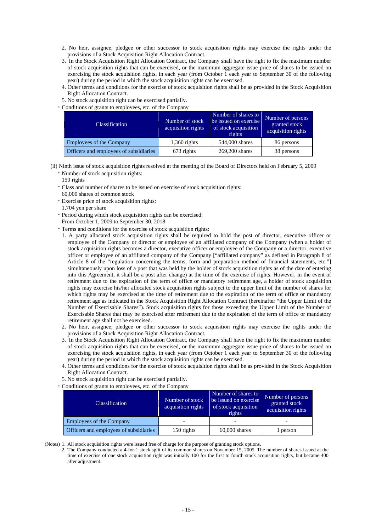- 2. No heir, assignee, pledgee or other successor to stock acquisition rights may exercise the rights under the provisions of a Stock Acquisition Right Allocation Contract.
- 3. In the Stock Acquisition Right Allocation Contract, the Company shall have the right to fix the maximum number of stock acquisition rights that can be exercised, or the maximum aggregate issue price of shares to be issued on exercising the stock acquisition rights, in each year (from October 1 each year to September 30 of the following year) during the period in which the stock acquisition rights can be exercised.
- 4. Other terms and conditions for the exercise of stock acquisition rights shall be as provided in the Stock Acquisition Right Allocation Contract.
- 5. No stock acquisition right can be exercised partially.

・Conditions of grants to employees, etc. of the Company

| <b>Classification</b>                  | Number of stock<br>acquisition rights | Number of shares to<br>be issued on exercise<br>of stock acquisition<br>rights | Number of persons<br>granted stock<br>acquisition rights |
|----------------------------------------|---------------------------------------|--------------------------------------------------------------------------------|----------------------------------------------------------|
| Employees of the Company               | $1,360$ rights                        | 544,000 shares                                                                 | 86 persons                                               |
| Officers and employees of subsidiaries | 673 rights                            | 269,200 shares                                                                 | 38 persons                                               |

(ii) Ninth issue of stock acquisition rights resolved at the meeting of the Board of Directors held on February 5, 2009

- ・Number of stock acquisition rights:
	- 150 rights
- ・Class and number of shares to be issued on exercise of stock acquisition rights:
- 60,000 shares of common stock ・Exercise price of stock acquisition rights:
- 1,704 yen per share
- ・Period during which stock acquisition rights can be exercised:
- From October 1, 2009 to September 30, 2018
- ・Terms and conditions for the exercise of stock acquisition rights:
	- 1. A party allocated stock acquisition rights shall be required to hold the post of director, executive officer or employee of the Company or director or employee of an affiliated company of the Company (when a holder of stock acquisition rights becomes a director, executive officer or employee of the Company or a director, executive officer or employee of an affiliated company of the Company ["affiliated company" as defined in Paragraph 8 of Article 8 of the "regulation concerning the terms, form and preparation method of financial statements, etc."] simultaneously upon loss of a post that was held by the holder of stock acquisition rights as of the date of entering into this Agreement, it shall be a post after change) at the time of the exercise of rights. However, in the event of retirement due to the expiration of the term of office or mandatory retirement age, a holder of stock acquisition rights may exercise his/her allocated stock acquisition rights subject to the upper limit of the number of shares for which rights may be exercised at the time of retirement due to the expiration of the term of office or mandatory retirement age as indicated in the Stock Acquisition Right Allocation Contract (hereinafter "the Upper Limit of the Number of Exercisable Shares"). Stock acquisition rights for those exceeding the Upper Limit of the Number of Exercisable Shares that may be exercised after retirement due to the expiration of the term of office or mandatory retirement age shall not be exercised.
	- 2. No heir, assignee, pledgee or other successor to stock acquisition rights may exercise the rights under the provisions of a Stock Acquisition Right Allocation Contract.
	- 3. In the Stock Acquisition Right Allocation Contract, the Company shall have the right to fix the maximum number of stock acquisition rights that can be exercised, or the maximum aggregate issue price of shares to be issued on exercising the stock acquisition rights, in each year (from October 1 each year to September 30 of the following year) during the period in which the stock acquisition rights can be exercised.
	- 4. Other terms and conditions for the exercise of stock acquisition rights shall be as provided in the Stock Acquisition Right Allocation Contract.
- 5. No stock acquisition right can be exercised partially.
- ・Conditions of grants to employees, etc. of the Company

| <b>Classification</b>                  | Number of stock<br>acquisition rights | Number of shares to<br>be issued on exercise<br>of stock acquisition<br>rights | Number of persons<br>granted stock<br>acquisition rights |
|----------------------------------------|---------------------------------------|--------------------------------------------------------------------------------|----------------------------------------------------------|
| <b>Employees of the Company</b>        |                                       |                                                                                |                                                          |
| Officers and employees of subsidiaries | 150 rights                            | $60,000$ shares                                                                | 1 person                                                 |

(Notes) 1. All stock acquisition rights were issued free of charge for the purpose of granting stock options.

2. The Company conducted a 4-for-1 stock split of its common shares on November 15, 2005. The number of shares issued at the time of exercise of one stock acquisition right was initially 100 for the first to fourth stock acquisition rights, but became 400 after adjustment.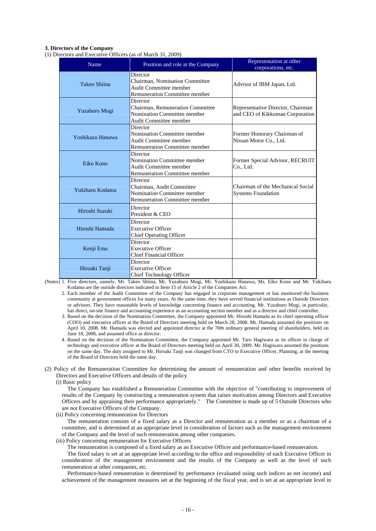### **3. Directors of the Company**

(1) Directors and Executive Officers (as of March 31, 2009)

| Name             | Position and role at the Company                                                                          | Representation at other<br>corporations, etc.                        |
|------------------|-----------------------------------------------------------------------------------------------------------|----------------------------------------------------------------------|
| Takeo Shiina     | Director<br>Chairman, Nomination Committee<br>Audit Committee member<br>Remuneration Committee member     | Advisor of IBM Japan, Ltd.                                           |
| Yuzaburo Mogi    | Director<br>Chairman, Remuneration Committee<br>Nomination Committee member<br>Audit Committee member     | Representative Director, Chairman<br>and CEO of Kikkoman Corporation |
| Yoshikazu Hanawa | Director<br>Nomination Committee member<br>Audit Committee member<br><b>Remuneration Committee member</b> | Former Honorary Chairman of<br>Nissan Motor Co., Ltd.                |
| Eiko Kono        | Director<br>Nomination Committee member<br>Audit Committee member<br>Remuneration Committee member        | Former Special Advisor, RECRUIT<br>Co., Ltd.                         |
| Yukiharu Kodama  | Director<br>Chairman, Audit Committee<br>Nomination Committee member<br>Remuneration Committee member     | Chairman of the Mechanical Social<br><b>Systems Foundation</b>       |
| Hiroshi Suzuki   | Director<br>President & CEO                                                                               |                                                                      |
| Hiroshi Hamada   | Director<br><b>Executive Officer</b><br><b>Chief Operating Officer</b>                                    |                                                                      |
| Kenji Ema        | Director<br><b>Executive Officer</b><br><b>Chief Financial Officer</b>                                    |                                                                      |
| Hiroaki Tanji    | Director<br><b>Executive Officer</b><br>Chief Technology Officer                                          |                                                                      |

(Notes) 1. Five directors, namely, Mr. Takeo Shiina, Mr. Yuzaburo Mogi, Mr. Yoshikazu Hanawa, Ms. Eiko Kono and Mr. Yukiharu Kodama are the outside directors indicated in Item 15 of Article 2 of the Companies Act.

2. Each member of the Audit Committee of the Company has engaged in corporate management or has monitored the business community at government offices for many years. At the same time, they have served financial institutions as Outside Directors or advisors. They have reasonable levels of knowledge concerning finance and accounting. Mr. Yuzaburo Mogi, in particular, has direct, on-site finance and accounting experience as an accounting section member and as a director and chief controller.

- 3. Based on the decision of the Nomination Committee, the Company appointed Mr. Hiroshi Hamada as its chief operating officer (COO) and executive officer at the Board of Directors meeting held on March 28, 2008. Mr. Hamada assumed the positions on April 10, 2008. Mr. Hamada was elected and appointed director at the 70th ordinary general meeting of shareholders, held on June 18, 2008, and assumed office as director.
- 4. Based on the decision of the Nomination Committee, the Company appointed Mr. Taro Hagiwara as its officer in charge of technology and executive officer at the Board of Directors meeting held on April 30, 2009. Mr. Hagiwara assumed the positions on the same day. The duty assigned to Mr. Hiroaki Tanji was changed from CTO to Executive Officer, Planning, at the meeting of the Board of Directors held the same day.
- (2) Policy of the Remuneration Committee for determining the amount of remuneration and other benefits received by Directors and Executive Officers and details of the policy

(i) Basic policy

The Company has established a Remuneration Committee with the objective of "contributing to improvement of results of the Company by constructing a remuneration system that raises motivation among Directors and Executive Officers and by appraising their performance appropriately." The Committee is made up of 5 Outside Directors who are not Executive Officers of the Company.

(ii) Policy concerning remuneration for Directors

The remuneration consists of a fixed salary as a Director and remuneration as a member or as a chairman of a committee, and is determined at an appropriate level in consideration of factors such as the management environment of the Company and the level of such remuneration among other companies.

(iii) Policy concerning remuneration for Executive Officers

The remuneration is composed of a fixed salary as an Executive Officer and performance-based remuneration.

The fixed salary is set at an appropriate level according to the office and responsibility of each Executive Officer in consideration of the management environment and the results of the Company as well as the level of such remuneration at other companies, etc.

Performance-based remuneration is determined by performance (evaluated using such indices as net income) and achievement of the management measures set at the beginning of the fiscal year, and is set at an appropriate level in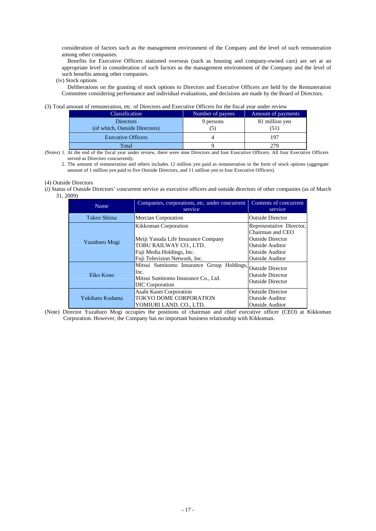consideration of factors such as the management environment of the Company and the level of such remuneration among other companies.

Benefits for Executive Officers stationed overseas (such as housing and company-owned cars) are set at an appropriate level in consideration of such factors as the management environment of the Company and the level of such benefits among other companies.

(iv) Stock options

Deliberations on the granting of stock options to Directors and Executive Officers are held by the Remuneration Committee considering performance and individual evaluations, and decisions are made by the Board of Directors.

### (3) Total amount of remuneration, etc. of Directors and Executive Officers for the fiscal year under review

| <b>Classification</b>                             | Number of payees | Amount of payments |
|---------------------------------------------------|------------------|--------------------|
| <b>Directors</b><br>(of which, Outside Directors) | 9 persons        | 81 million yen     |
| <b>Executive Officers</b>                         |                  | 197                |
| Total                                             |                  |                    |

(Notes) 1. At the end of the fiscal year under review, there were nine Directors and four Executive Officers. All four Executive Officers served as Directors concurrently.

2. The amount of remuneration and others includes 12 million yen paid as remuneration in the form of stock options (aggregate amount of 1 million yen paid to five Outside Directors, and 11 million yen to four Executive Officers).

### (4) Outside Directors

(i) Status of Outside Directors' concurrent service as executive officers and outside directors of other companies (as of March 31, 2009)

| Name            | Companies, corporations, etc. under concurrent<br>service                                                                                           | Contents of concurrent<br>service                                                                                                                     |
|-----------------|-----------------------------------------------------------------------------------------------------------------------------------------------------|-------------------------------------------------------------------------------------------------------------------------------------------------------|
| Takeo Shiina    | Mercian Corporation                                                                                                                                 | <b>Outside Director</b>                                                                                                                               |
| Yuzaburo Mogi   | Kikkoman Corporation<br>Meiji Yasuda Life Insurance Company<br>TOBU RAILWAY CO., LTD.<br>Fuji Media Holdings, Inc.<br>Fuji Television Network, Inc. | Representative Director,<br>Chairman and CEO<br><b>Outside Director</b><br><b>Outside Auditor</b><br><b>Outside Auditor</b><br><b>Outside Auditor</b> |
| Eiko Kono       | Mitsui Sumitomo Insurance Group Holdings, Outside Director<br>Inc.<br>Mitsui Sumitomo Insurance Co., Ltd.<br><b>DIC</b> Corporation                 | <b>Outside Director</b><br><b>Outside Director</b>                                                                                                    |
| Yukiharu Kodama | Asahi Kasei Corporation<br>TOKYO DOME CORPORATION<br>YOMIURI LAND. CO., LTD.                                                                        | <b>Outside Director</b><br><b>Outside Auditor</b><br><b>Outside Auditor</b>                                                                           |

(Note) Director Yuzaburo Mogi occupies the positions of chairman and chief executive officer (CEO) at Kikkoman Corporation. However, the Company has no important business relationship with Kikkoman.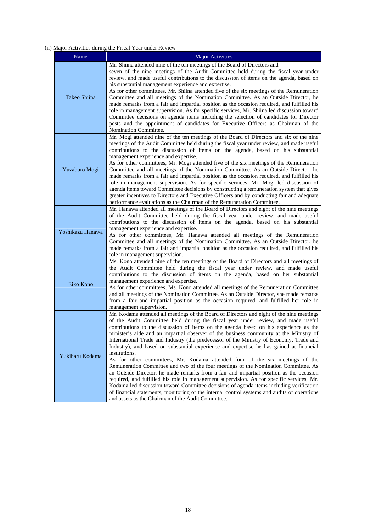### (ii) Major Activities during the Fiscal Year under Review

| Name             | <b>Major Activities</b>                                                                                                                                                                                                                                                                                                                                                                                                                                                                                                                                                                                                                                                                                                                                                                                                                                                                                                                                                                                                                                                                                                                                                                 |
|------------------|-----------------------------------------------------------------------------------------------------------------------------------------------------------------------------------------------------------------------------------------------------------------------------------------------------------------------------------------------------------------------------------------------------------------------------------------------------------------------------------------------------------------------------------------------------------------------------------------------------------------------------------------------------------------------------------------------------------------------------------------------------------------------------------------------------------------------------------------------------------------------------------------------------------------------------------------------------------------------------------------------------------------------------------------------------------------------------------------------------------------------------------------------------------------------------------------|
| Takeo Shiina     | Mr. Shiina attended nine of the ten meetings of the Board of Directors and<br>seven of the nine meetings of the Audit Committee held during the fiscal year under<br>review, and made useful contributions to the discussion of items on the agenda, based on<br>his substantial management experience and expertise.<br>As for other committees, Mr. Shiina attended five of the six meetings of the Remuneration<br>Committee and all meetings of the Nomination Committee. As an Outside Director, he<br>made remarks from a fair and impartial position as the occasion required, and fulfilled his<br>role in management supervision. As for specific services, Mr. Shiina led discussion toward<br>Committee decisions on agenda items including the selection of candidates for Director<br>posts and the appointment of candidates for Executive Officers as Chairman of the<br>Nomination Committee.                                                                                                                                                                                                                                                                           |
| Yuzaburo Mogi    | Mr. Mogi attended nine of the ten meetings of the Board of Directors and six of the nine<br>meetings of the Audit Committee held during the fiscal year under review, and made useful<br>contributions to the discussion of items on the agenda, based on his substantial<br>management experience and expertise.<br>As for other committees, Mr. Mogi attended five of the six meetings of the Remuneration<br>Committee and all meetings of the Nomination Committee. As an Outside Director, he<br>made remarks from a fair and impartial position as the occasion required, and fulfilled his<br>role in management supervision. As for specific services, Mr. Mogi led discussion of<br>agenda items toward Committee decisions by constructing a remuneration system that gives<br>greater incentives to Directors and Executive Officers and by conducting fair and adequate<br>performance evaluations as the Chairman of the Remuneration Committee.                                                                                                                                                                                                                           |
| Yoshikazu Hanawa | Mr. Hanawa attended all meetings of the Board of Directors and eight of the nine meetings<br>of the Audit Committee held during the fiscal year under review, and made useful<br>contributions to the discussion of items on the agenda, based on his substantial<br>management experience and expertise.<br>As for other committees, Mr. Hanawa attended all meetings of the Remuneration<br>Committee and all meetings of the Nomination Committee. As an Outside Director, he<br>made remarks from a fair and impartial position as the occasion required, and fulfilled his<br>role in management supervision.                                                                                                                                                                                                                                                                                                                                                                                                                                                                                                                                                                      |
| Eiko Kono        | Ms. Kono attended nine of the ten meetings of the Board of Directors and all meetings of<br>the Audit Committee held during the fiscal year under review, and made useful<br>contributions to the discussion of items on the agenda, based on her substantial<br>management experience and expertise.<br>As for other committees, Ms. Kono attended all meetings of the Remuneration Committee<br>and all meetings of the Nomination Committee. As an Outside Director, she made remarks<br>from a fair and impartial position as the occasion required, and fulfilled her role in<br>management supervision.                                                                                                                                                                                                                                                                                                                                                                                                                                                                                                                                                                           |
| Yukiharu Kodama  | Mr. Kodama attended all meetings of the Board of Directors and eight of the nine meetings<br>of the Audit Committee held during the fiscal year under review, and made useful<br>contributions to the discussion of items on the agenda based on his experience as the<br>minister's aide and an impartial observer of the business community at the Ministry of<br>International Trade and Industry (the predecessor of the Ministry of Economy, Trade and<br>Industry), and based on substantial experience and expertise he has gained at financial<br>institutions.<br>As for other committees, Mr. Kodama attended four of the six meetings of the<br>Remuneration Committee and two of the four meetings of the Nomination Committee. As<br>an Outside Director, he made remarks from a fair and impartial position as the occasion<br>required, and fulfilled his role in management supervision. As for specific services, Mr.<br>Kodama led discussion toward Committee decisions of agenda items including verification<br>of financial statements, monitoring of the internal control systems and audits of operations<br>and assets as the Chairman of the Audit Committee. |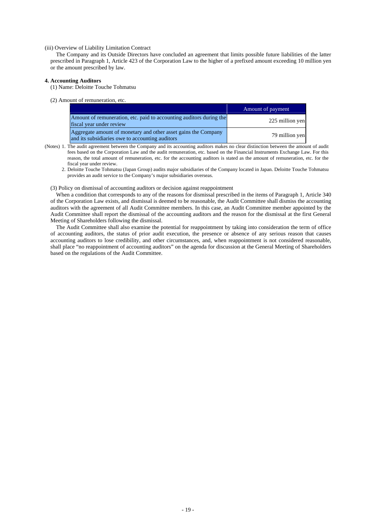### (iii) Overview of Liability Limitation Contract

The Company and its Outside Directors have concluded an agreement that limits possible future liabilities of the latter prescribed in Paragraph 1, Article 423 of the Corporation Law to the higher of a prefixed amount exceeding 10 million yen or the amount prescribed by law.

### **4. Accounting Auditors**

- (1) Name: Deloitte Touche Tohmatsu
- (2) Amount of remuneration, etc.

|                                                                                                                   | Amount of payment |
|-------------------------------------------------------------------------------------------------------------------|-------------------|
| Amount of remuneration, etc. paid to accounting auditors during the<br>fiscal year under review                   | 225 million yen   |
| Aggregate amount of monetary and other asset gains the Company<br>and its subsidiaries owe to accounting auditors | 79 million yen    |

- (Notes) 1. The audit agreement between the Company and its accounting auditors makes no clear distinction between the amount of audit fees based on the Corporation Law and the audit remuneration, etc. based on the Financial Instruments Exchange Law. For this reason, the total amount of remuneration, etc. for the accounting auditors is stated as the amount of remuneration, etc. for the fiscal year under review.
	- 2. Deloitte Touche Tohmatsu (Japan Group) audits major subsidiaries of the Company located in Japan. Deloitte Touche Tohmatsu provides an audit service to the Company's major subsidiaries overseas.

(3) Policy on dismissal of accounting auditors or decision against reappointment

When a condition that corresponds to any of the reasons for dismissal prescribed in the items of Paragraph 1, Article 340 of the Corporation Law exists, and dismissal is deemed to be reasonable, the Audit Committee shall dismiss the accounting auditors with the agreement of all Audit Committee members. In this case, an Audit Committee member appointed by the Audit Committee shall report the dismissal of the accounting auditors and the reason for the dismissal at the first General Meeting of Shareholders following the dismissal.

The Audit Committee shall also examine the potential for reappointment by taking into consideration the term of office of accounting auditors, the status of prior audit execution, the presence or absence of any serious reason that causes accounting auditors to lose credibility, and other circumstances, and, when reappointment is not considered reasonable, shall place "no reappointment of accounting auditors" on the agenda for discussion at the General Meeting of Shareholders based on the regulations of the Audit Committee.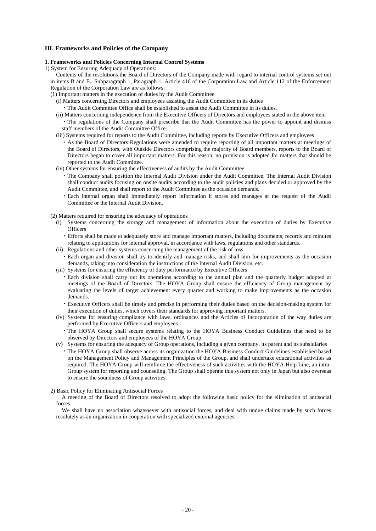### **III. Frameworks and Policies of the Company**

### **1. Frameworks and Policies Concerning Internal Control Systems**

1) System for Ensuring Adequacy of Operations:

Contents of the resolutions the Board of Directors of the Company made with regard to internal control systems set out in items B and E., Subparagraph 1, Paragraph 1, Article 416 of the Corporation Law and Article 112 of the Enforcement Regulation of the Corporation Law are as follows:

(1) Important matters in the execution of duties by the Audit Committee

(i) Matters concerning Directors and employees assisting the Audit Committee in its duties

・The Audit Committee Office shall be established to assist the Audit Committee in its duties.

- (ii) Matters concerning independence from the Executive Officers of Directors and employees stated in the above item ・The regulations of the Company shall prescribe that the Audit Committee has the power to appoint and dismiss staff members of the Audit Committee Office.
- (iii) Systems required for reports to the Audit Committee, including reports by Executive Officers and employees
	- ・As the Board of Directors Regulations were amended to require reporting of all important matters at meetings of the Board of Directors, with Outside Directors comprising the majority of Board members, reports to the Board of Directors began to cover all important matters. For this reason, no provision is adopted for matters that should be reported to the Audit Committee.
- (iv) Other systems for ensuring the effectiveness of audits by the Audit Committee
	- ・The Company shall position the Internal Audit Division under the Audit Committee. The Internal Audit Division shall conduct audits focusing on onsite audits according to the audit policies and plans decided or approved by the Audit Committee, and shall report to the Audit Committee as the occasion demands.
	- ・Each internal organ shall immediately report information it stores and manages at the request of the Audit Committee or the Internal Audit Division.

(2) Matters required for ensuring the adequacy of operations

- (i) Systems concerning the storage and management of information about the execution of duties by Executive **Officers** 
	- ・Efforts shall be made to adequately store and manage important matters, including documents, records and minutes relating to applications for internal approval, in accordance with laws, regulations and other standards.
- (ii) Regulations and other systems concerning the management of the risk of loss
- ・Each organ and division shall try to identify and manage risks, and shall aim for improvements as the occasion demands, taking into consideration the instructions of the Internal Audit Division, etc.
- (iii) Systems for ensuring the efficiency of duty performance by Executive Officers
- ・Each division shall carry out its operations according to the annual plan and the quarterly budget adopted at meetings of the Board of Directors. The HOYA Group shall ensure the efficiency of Group management by evaluating the levels of target achievement every quarter and working to make improvements as the occasion demands.
- ・Executive Officers shall be timely and precise in performing their duties based on the decision-making system for their execution of duties, which covers their standards for approving important matters.
- (iv) Systems for ensuring compliance with laws, ordinances and the Articles of Incorporation of the way duties are performed by Executive Officers and employees
	- ・The HOYA Group shall secure systems relating to the HOYA Business Conduct Guidelines that need to be observed by Directors and employees of the HOYA Group.
- (v) Systems for ensuring the adequacy of Group operations, including a given company, its parent and its subsidiaries
- ・The HOYA Group shall observe across its organization the HOYA Business Conduct Guidelines established based on the Management Policy and Management Principles of the Group, and shall undertake educational activities as required. The HOYA Group will reinforce the effectiveness of such activities with the HOYA Help Line, an intra-Group system for reporting and counseling. The Group shall operate this system not only in Japan but also overseas to ensure the soundness of Group activities.

### 2) Basic Policy for Eliminating Antisocial Forces

A meeting of the Board of Directors resolved to adopt the following basic policy for the elimination of antisocial forces.

We shall have no association whatsoever with antisocial forces, and deal with undue claims made by such forces resolutely as an organization in cooperation with specialized external agencies.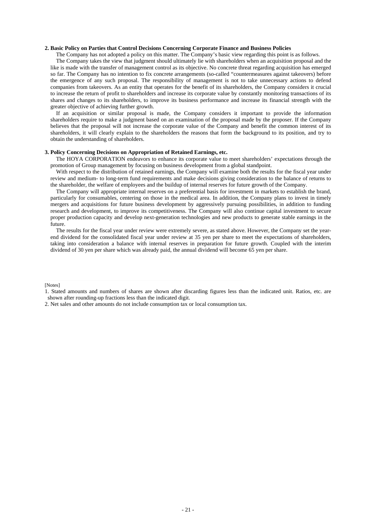### **2. Basic Policy on Parties that Control Decisions Concerning Corporate Finance and Business Policies**

The Company has not adopted a policy on this matter. The Company's basic view regarding this point is as follows.

The Company takes the view that judgment should ultimately lie with shareholders when an acquisition proposal and the like is made with the transfer of management control as its objective. No concrete threat regarding acquisition has emerged so far. The Company has no intention to fix concrete arrangements (so-called "countermeasures against takeovers) before the emergence of any such proposal. The responsibility of management is not to take unnecessary actions to defend companies from takeovers. As an entity that operates for the benefit of its shareholders, the Company considers it crucial to increase the return of profit to shareholders and increase its corporate value by constantly monitoring transactions of its shares and changes to its shareholders, to improve its business performance and increase its financial strength with the greater objective of achieving further growth.

If an acquisition or similar proposal is made, the Company considers it important to provide the information shareholders require to make a judgment based on an examination of the proposal made by the proposer. If the Company believes that the proposal will not increase the corporate value of the Company and benefit the common interest of its shareholders, it will clearly explain to the shareholders the reasons that form the background to its position, and try to obtain the understanding of shareholders.

### **3. Policy Concerning Decisions on Appropriation of Retained Earnings, etc.**

The HOYA CORPORATION endeavors to enhance its corporate value to meet shareholders' expectations through the promotion of Group management by focusing on business development from a global standpoint.

With respect to the distribution of retained earnings, the Company will examine both the results for the fiscal year under review and medium- to long-term fund requirements and make decisions giving consideration to the balance of returns to the shareholder, the welfare of employees and the buildup of internal reserves for future growth of the Company.

The Company will appropriate internal reserves on a preferential basis for investment in markets to establish the brand, particularly for consumables, centering on those in the medical area. In addition, the Company plans to invest in timely mergers and acquisitions for future business development by aggressively pursuing possibilities, in addition to funding research and development, to improve its competitiveness. The Company will also continue capital investment to secure proper production capacity and develop next-generation technologies and new products to generate stable earnings in the future.

The results for the fiscal year under review were extremely severe, as stated above. However, the Company set the yearend dividend for the consolidated fiscal year under review at 35 yen per share to meet the expectations of shareholders, taking into consideration a balance with internal reserves in preparation for future growth. Coupled with the interim dividend of 30 yen per share which was already paid, the annual dividend will become 65 yen per share.

### [Notes]

2. Net sales and other amounts do not include consumption tax or local consumption tax.

<sup>1.</sup> Stated amounts and numbers of shares are shown after discarding figures less than the indicated unit. Ratios, etc. are shown after rounding-up fractions less than the indicated digit.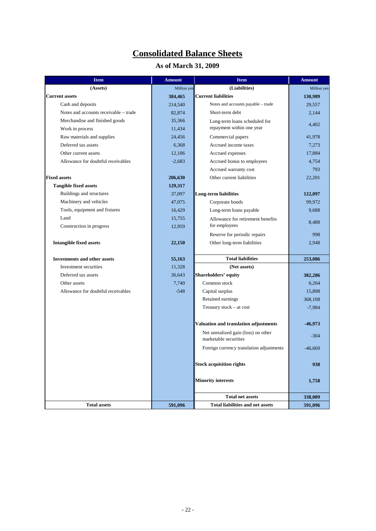# **Consolidated Balance Sheets**

# **As of March 31, 2009**

| <b>Item</b>                           | <b>Amount</b> | <b>Item</b>                                                  | <b>Amount</b> |
|---------------------------------------|---------------|--------------------------------------------------------------|---------------|
| (Assets)                              | Million yen   | (Liabilities)                                                | Million yen   |
| <b>Current assets</b>                 | 384,465       | Current liabilities                                          | 130,989       |
| Cash and deposits                     | 214,540       | Notes and accounts payable - trade                           | 29,557        |
| Notes and accounts receivable – trade | 82,874        | Short-term debt                                              | 2,144         |
| Merchandise and finished goods        | 35,366        | Long-term loans scheduled for                                |               |
| Work in process                       | 11,434        | repayment within one year                                    | 4,402         |
| Raw materials and supplies            | 24,456        | Commercial papers                                            | 41,978        |
| Deferred tax assets                   | 6,368         | Accrued income taxes                                         | 7,273         |
| Other current assets                  | 12,106        | Accrued expenses                                             | 17,884        |
| Allowance for doubtful receivables    | $-2,683$      | Accrued bonus to employees                                   | 4,754         |
|                                       |               | Accrued warranty cost                                        | 793           |
| <b>Fixed assets</b>                   | 206,630       | Other current liabilities                                    | 22,201        |
| <b>Tangible fixed assets</b>          | 129,317       |                                                              |               |
| Buildings and structures              | 37,097        | Long-term liabilities                                        | 122,097       |
| Machinery and vehicles                | 47,075        | Corporate bonds                                              | 99,972        |
| Tools, equipment and fixtures         | 16,429        | Long-term loans payable                                      | 9,688         |
| Land                                  | 15,755        | Allowance for retirement benefits                            | 8,488         |
| Construction in progress              | 12,959        | for employees                                                |               |
|                                       |               | Reserve for periodic repairs                                 | 998           |
| <b>Intangible fixed assets</b>        | 22,150        | Other long-term liabilities                                  | 2,948         |
|                                       |               |                                                              |               |
| <b>Investments and other assets</b>   | 55,163        | <b>Total liabilities</b>                                     | 253,086       |
| Investment securities                 | 11,328        | (Net assets)                                                 |               |
| Deferred tax assets                   | 36,643        | Shareholders' equity                                         | 382,286       |
| Other assets                          | 7,740         | Common stock                                                 | 6,264         |
| Allowance for doubtful receivables    | $-548$        | Capital surplus                                              | 15,898        |
|                                       |               | Retained earnings                                            | 368,108       |
|                                       |               | Treasury stock - at cost                                     | $-7,984$      |
|                                       |               |                                                              |               |
|                                       |               | Valuation and translation adjustments                        | -46,973       |
|                                       |               | Net unrealized gain (loss) on other<br>marketable securities | $-304$        |
|                                       |               | Foreign currency translation adjustments                     | $-46,669$     |
|                                       |               | <b>Stock acquisition rights</b>                              | 938           |
|                                       |               | <b>Minority interests</b>                                    | 1,758         |
|                                       |               | <b>Total net assets</b>                                      | 338,009       |
| <b>Total assets</b>                   | 591,096       | <b>Total liabilities and net assets</b>                      | 591,096       |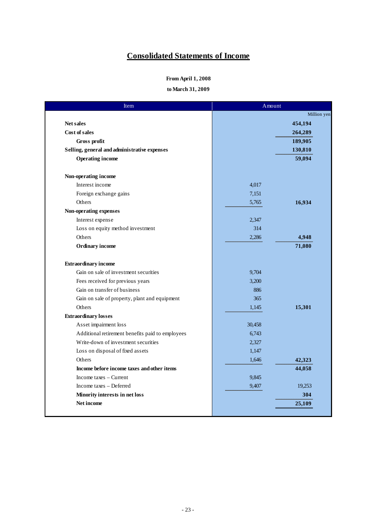# **Consolidated Statements of Income**

### **From April 1, 2008**

**to March 31, 2009**

| Item                                             | Amount |             |
|--------------------------------------------------|--------|-------------|
|                                                  |        | Million yen |
| <b>Net sales</b>                                 |        | 454,194     |
| Cost of sales                                    |        | 264,289     |
| Gross profit                                     |        | 189,905     |
| Selling, general and administrative expenses     |        | 130,810     |
| <b>Operating income</b>                          |        | 59,094      |
| Non-operating income                             |        |             |
| Interest income                                  | 4,017  |             |
| Foreign exchange gains                           | 7,151  |             |
| Others                                           | 5,765  | 16,934      |
| Non-operating expenses                           |        |             |
| Interest expense                                 | 2,347  |             |
| Loss on equity method investment                 | 314    |             |
| Others                                           | 2,286  | 4,948       |
| Ordinary income                                  |        | 71,080      |
| <b>Extraordinary income</b>                      |        |             |
| Gain on sale of investment securities            | 9,704  |             |
| Fees received for previous years                 | 3,200  |             |
| Gain on transfer of business                     | 886    |             |
| Gain on sale of property, plant and equipment    | 365    |             |
| Others                                           | 1,145  | 15,301      |
| <b>Extraordinary losses</b>                      |        |             |
| Asset impairment loss                            | 30,458 |             |
| Additional retirement benefits paid to employees | 6,743  |             |
| Write-down of investment securities              | 2,327  |             |
| Loss on disposal of fixed assets                 | 1,147  |             |
| Others                                           | 1,646  | 42,323      |
| Income before income taxes and other items       |        | 44,058      |
| Income taxes – Current                           | 9,845  |             |
| Income taxes - Deferred                          | 9,407  | 19,253      |
| Minority interests in net loss                   |        | 304         |
| Net income                                       |        | 25,109      |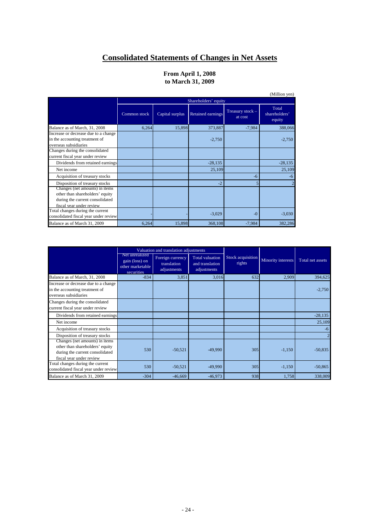# **Consolidated Statements of Changes in Net Assets**

### **to March 31, 2009 From April 1, 2008**

|                                                                                                                                  |              |                      |                   |                             | (Million yen)                    |  |
|----------------------------------------------------------------------------------------------------------------------------------|--------------|----------------------|-------------------|-----------------------------|----------------------------------|--|
|                                                                                                                                  |              | Shareholders' equity |                   |                             |                                  |  |
|                                                                                                                                  | Common stock | Capital surplus      | Retained earnings | Treasury stock -<br>at cost | Total<br>shareholders'<br>equity |  |
| Balance as of March, 31, 2008                                                                                                    | 6,264        | 15,898               | 373,887           | $-7,984$                    | 388,066                          |  |
| Increase or decrease due to a change<br>in the accounting treatment of<br>overseas subsidiaries                                  |              |                      | $-2,750$          |                             | $-2,750$                         |  |
| Changes during the consolidated<br>current fiscal year under review                                                              |              |                      |                   |                             |                                  |  |
| Dividends from retained earnings                                                                                                 |              |                      | $-28,135$         |                             | $-28,135$                        |  |
| Net income                                                                                                                       |              |                      | 25,109            |                             | 25,109                           |  |
| Acquisition of treasury stocks                                                                                                   |              |                      |                   | $-6$                        | -6                               |  |
| Disposition of treasury stocks                                                                                                   |              |                      | $-2$              |                             |                                  |  |
| Changes (net amounts) in items<br>other than shareholders' equity<br>during the current consolidated<br>fiscal year under review |              |                      |                   |                             |                                  |  |
| Total changes during the current<br>consolidated fiscal year under review                                                        |              |                      | $-3,029$          | $-0$                        | $-3,030$                         |  |
| Balance as of March 31, 2009                                                                                                     | 6,264        | 15,898               | 368,108           | $-7,984$                    | 382,286                          |  |

|                                                                                                                                  |                                                                    | Valuation and translation adjustments          |                                                          |                             |                    |                  |
|----------------------------------------------------------------------------------------------------------------------------------|--------------------------------------------------------------------|------------------------------------------------|----------------------------------------------------------|-----------------------------|--------------------|------------------|
|                                                                                                                                  | Net unrealized<br>gain (loss) on<br>other marketable<br>securities | Foreign currency<br>translation<br>adjustments | <b>Total valuation</b><br>and translation<br>adjustments | Stock acquisition<br>rights | Minority interests | Total net assets |
| Balance as of March, 31, 2008                                                                                                    | $-834$                                                             | 3,851                                          | 3,016                                                    | 632                         | 2,909              | 394,625          |
| Increase or decrease due to a change<br>in the accounting treatment of<br>overseas subsidiaries                                  |                                                                    |                                                |                                                          |                             |                    | $-2,750$         |
| Changes during the consolidated<br>current fiscal year under review                                                              |                                                                    |                                                |                                                          |                             |                    |                  |
| Dividends from retained earnings                                                                                                 |                                                                    |                                                |                                                          |                             |                    | $-28,135$        |
| Net income                                                                                                                       |                                                                    |                                                |                                                          |                             |                    | 25,109           |
| Acquisition of treasury stocks                                                                                                   |                                                                    |                                                |                                                          |                             |                    | -6               |
| Disposition of treasury stocks                                                                                                   |                                                                    |                                                |                                                          |                             |                    | $\overline{c}$   |
| Changes (net amounts) in items<br>other than shareholders' equity<br>during the current consolidated<br>fiscal year under review | 530                                                                | $-50,521$                                      | $-49,990$                                                | 305                         | $-1,150$           | $-50,835$        |
| Total changes during the current<br>consolidated fiscal year under review                                                        | 530                                                                | $-50,521$                                      | $-49,990$                                                | 305                         | $-1,150$           | $-50,865$        |
| Balance as of March 31, 2009                                                                                                     | $-304$                                                             | $-46,669$                                      | $-46.973$                                                | 938                         | 1.758              | 338,009          |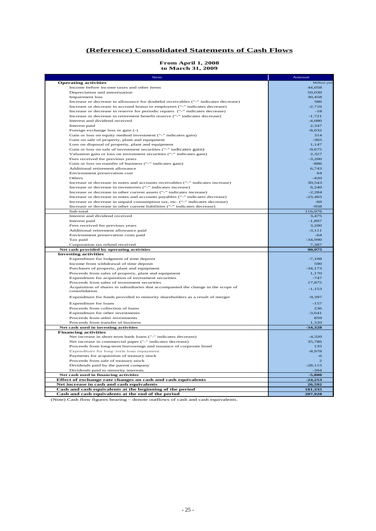### **(Reference) Consolidated Statements of Cash Flows**

# **From April 1, 2008**

|  | 110m 11pm 1, 2000 |  |
|--|-------------------|--|
|  | to March 31, 2009 |  |

| Item                                                                                                                                  | Amount                |
|---------------------------------------------------------------------------------------------------------------------------------------|-----------------------|
| <b>Operating activities</b>                                                                                                           | Million yen           |
| Income before income taxes and other items                                                                                            | 44,058                |
| Depreciation and amortization                                                                                                         | 50,030                |
| <b>Impairment</b> loss                                                                                                                | 30.458                |
| Increase or decrease in allowance for doubtful receivables ("-" indicates decrease)                                                   | 586                   |
| Increase or decrease in accrued bonus to employees ("-" indicates decrease)                                                           | $-2,716$              |
| Increase or decrease in reserve for periodic repairs ("-" indicates decrease)                                                         | $-18$                 |
| Increase or decrease in retirement benefit reserve ("-" indicates decrease)<br>Interest and dividend received                         | $-1,721$<br>$-4,080$  |
| Interest paid                                                                                                                         | 2,347                 |
| Foreign exchange loss or gain (-)                                                                                                     | $-8,032$              |
| Gain or loss on equity method investment ("-" indicates gain)                                                                         | 314                   |
| Gain on sale of property, plant and equipment                                                                                         | $-365$                |
| Loss on disposal of property, plant and equipment                                                                                     | 1,147                 |
| Gain or loss on sale of investment securities ("-" indicates gain)                                                                    | $-9,675$              |
| Valuation gain or loss on investment securities ("-" indicates gain)                                                                  | 2,327                 |
| Fees received for previous years                                                                                                      | $-3,200$              |
| Gain or loss on transfer of business ("-" indicates gain)                                                                             | $-886$                |
| Additional retirement allowance                                                                                                       | 6,743                 |
| Environment preservation cost                                                                                                         | 64                    |
| Others                                                                                                                                | $-420$                |
| Increase or decrease in notes and accounts receivables ("-" indicates increase)                                                       | 30,543                |
| Increase or decrease in inventories ("-" indicates increase)<br>Increase or decrease in other current assets ("-" indicates increase) | 6,240                 |
| Increase or decrease in notes and accounts payables ("-" indicates decrease)                                                          | $-2,284$<br>$-23,465$ |
| Increase or decrease in unpaid consumption tax, etc. ("-" indicates decrease)                                                         | $-60$                 |
| Increase or decrease in other current liabilities ("-" indicates decrease)                                                            | $-958$                |
| Sub-total                                                                                                                             | 116,976               |
| Interest and dividend received                                                                                                        | 3,475                 |
| Interest paid                                                                                                                         | $-1.897$              |
| Fees received for previous years                                                                                                      | 3,200                 |
| Additional retirement allowance paid                                                                                                  | $-3, 111$             |
| Environment preservation costs paid                                                                                                   | $-64$                 |
| Tax paid                                                                                                                              | $-34,990$             |
| Corporation tax refund received                                                                                                       | 7,387                 |
| Net cash provided by operating activities                                                                                             | 90,975                |
| <b>Investing activities</b><br>Expenditure for lodgment of time deposit                                                               | $-7,108$              |
| Income from withdrawal of time deposit                                                                                                | 590                   |
| Purchases of property, plant and equipment                                                                                            | $-34,173$             |
| Proceeds from sales of property, plant and equipment                                                                                  | 1,170                 |
| Expenditure for acquisition of investment securities                                                                                  | $-747$                |
| Proceeds from sales of investment securities                                                                                          | 17,875                |
| Acquisition of shares in subsidiaries that accompanied the change in the scope of                                                     | $-1,153$              |
| consolidation                                                                                                                         |                       |
| Expenditure for funds provided to minority shareholders as a result of merger                                                         | $-9,397$              |
| <b>Expenditure for loans</b>                                                                                                          | $-157$                |
| Proceeds from collection of loans                                                                                                     | 236                   |
| Expenditure for other investments                                                                                                     | $-3,641$              |
| Proceeds from other investments                                                                                                       | 859                   |
| Proceeds from transfer of business                                                                                                    | 1,320                 |
| Net cash used in investing activities                                                                                                 | $-34,328$             |
| <b>Financing activities</b>                                                                                                           |                       |
| Net increase in short-term bank loans ("-" indicates decrease)                                                                        | $-4,320$              |
| Net increase in commercial paper ("-" indicates decrease)                                                                             | 35,786                |
| Proceeds from long-term borrowings and issuance of corproate bond                                                                     | 135                   |
| Expenditure for long-term loan repayment                                                                                              | $-8,978$<br>$-6$      |
| Payments for acquisition of treasury stock<br>Proceeds from sale of treasury stock                                                    | $\overline{2}$        |
| Dividends paid by the parent company                                                                                                  | $-28, 115$            |
| Dividends paid to minority interests                                                                                                  | $-304$                |
| Net cash used in financing activities                                                                                                 | $-5,800$              |
| Effect of exchange rate changes on cash and cash equivalents                                                                          | $-24,253$             |
| Net increase in cash and cash equivalents                                                                                             | 26,592                |
| Cash and cash equivalents at the beginning of the period                                                                              | 181,335               |
| Cash and cash equivalents at the end of the period                                                                                    | 207,928               |

(Note) Cash flow figures bearing – denote outflows of cash and cash equivalents.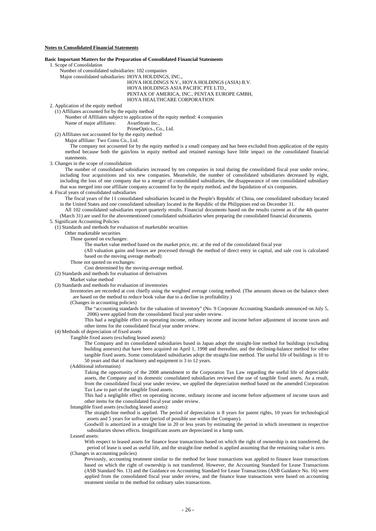### **Notes to Consolidated Financial Statements**

#### **Basic Important Matters for the Preparation of Consolidated Financial Statements**

1. Scope of Consolidation

- Number of consolidated subsidiaries: 102 companies
- Major consolidated subsidiaries: HOYA HOLDINGS, INC.,

HOYA HOLDINGS N.V., HOYA HOLDINGS (ASIA) B.V. HOYA HOLDINGS ASIA PACIFIC PTE LTD., PENTAX OF AMERICA, INC., PENTAX EUROPE GMBH,

HOYA HEALTHCARE CORPORATION

2. Application of the equity method (1) Affiliates accounted for by the equity method

Number of Affiliates subject to application of the equity method: 4 companies

Name of major affiliates: AvanStrate Inc.,

PrimeOptics., Co., Ltd.

(2) Affiliates not accounted for by the equity method

Major affiliate: Two Coins Co., Ltd.

The company not accounted for by the equity method is a small company and has been excluded from application of the equity method because both the gain/loss in equity method and retained earnings have little impact on the consolidated financial statements.

### 3. Changes in the scope of consolidation

The number of consolidated subsidiaries increased by ten companies in total during the consolidated fiscal year under review, including four acquisitions and six new companies. Meanwhile, the number of consolidated subsidiaries decreased by eight, including the loss of one company due to a merger of consolidated subsidiaries, the disappearance of one consolidated subsidiary that was merged into one affiliate company accounted for by the equity method, and the liquidation of six companies.

4. Fiscal years of consolidated subsidiaries

The fiscal years of the 11 consolidated subsidiaries located in the People's Republic of China, one consolidated subsidiary located in the United States and one consolidated subsidiary located in the Republic of the Philippines end on December 31.

All 102 consolidated subsidiaries report quarterly results. Financial documents based on the results current as of the 4th quarter (March 31) are used for the abovementioned consolidated subsidiaries when preparing the consolidated financial documents.

5. Significant Accounting Policies

(1) Standards and methods for evaluation of marketable securities

Other marketable securities

Those quoted on exchanges:

The market value method based on the market price, etc. at the end of the consolidated fiscal year

(All valuation gains and losses are processed through the method of direct entry in capital, and sale cost is calculated based on the moving average method)

Those not quoted on exchanges:

Cost determined by the moving-average method.

#### (2) Standards and methods for evaluation of derivatives

Market value method

(3) Standards and methods for evaluation of inventories

Inventories are recorded at cost chiefly using the weighted average costing method. (The amounts shown on the balance sheet are based on the method to reduce book value due to a decline in profitability.)

(Changes in accounting policies)

The "accounting standards for the valuation of inventory" (No. 9 Corporate Accounting Standards announced on July 5, 2006) were applied from the consolidated fiscal year under review.

This had a negligible effect on operating income, ordinary income and income before adjustment of income taxes and other items for the consolidated fiscal year under review.

(4) Methods of depreciation of fixed assets

Tangible fixed assets (excluding leased assets):

The Company and its consolidated subsidiaries based in Japan adopt the straight-line method for buildings (excluding building annexes) that have been acquired on April 1, 1998 and thereafter, and the declining-balance method for other tangible fixed assets. Some consolidated subsidiaries adopt the straight-line method. The useful life of buildings is 10 to 50 years and that of machinery and equipment is 3 to 12 years.

(Additional information)

Taking the opportunity of the 2008 amendment to the Corporation Tax Law regarding the useful life of depreciable assets, the Company and its domestic consolidated subsidiaries reviewed the use of tangible fixed assets. As a result, from the consolidated fiscal year under review, we applied the depreciation method based on the amended Corporation Tax Law to part of the tangible fixed assets.

This had a negligible effect on operating income, ordinary income and income before adjustment of income taxes and other items for the consolidated fiscal year under review.

Intangible fixed assets (excluding leased assets):

The straight-line method is applied. The period of depreciation is 8 years for patent rights, 10 years for technological assets and 5 years for software (period of possible use within the Company).

Goodwill is amortized in a straight line in 20 or less years by estimating the period in which investment in respective subsidiaries shows effects. Insignificant assets are depreciated in a lump sum.

Leased assets:

With respect to leased assets for finance lease transactions based on which the right of ownership is not transferred, the period of lease is used as useful life, and the straight-line method is applied assuming that the remaining value is zero. (Changes in accounting policies)

Previously, accounting treatment similar to the method for lease transactions was applied to finance lease transactions based on which the right of ownership is not transferred. However, the Accounting Standard for Lease Transactions (ASB Standard No. 13) and the Guidance on Accounting Standard for Lease Transactions (ASB Guidance No. 16) were applied from the consolidated fiscal year under review, and the finance lease transactions were based on accounting treatment similar to the method for ordinary sales transactions.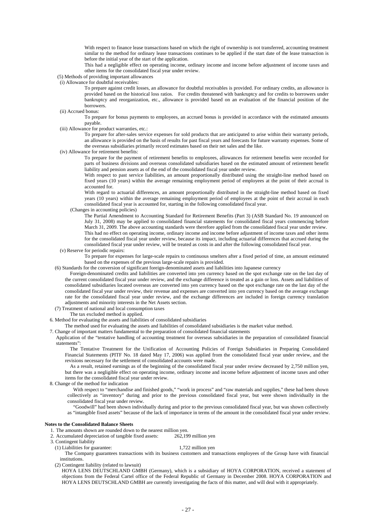With respect to finance lease transactions based on which the right of ownership is not transferred, accounting treatment similar to the method for ordinary lease transactions continues to be applied if the start date of the lease transaction is before the initial year of the start of the application.

This had a negligible effect on operating income, ordinary income and income before adjustment of income taxes and other items for the consolidated fiscal year under review.

(5) Methods of providing important allowances

(i) Allowance for doubtful receivables:

To prepare against credit losses, an allowance for doubtful receivables is provided. For ordinary credits, an allowance is provided based on the historical loss ratios. For credits threatened with bankruptcy and for credits to borrowers under bankruptcy and reorganization, etc., allowance is provided based on an evaluation of the financial position of the borrowers.

(ii) Accrued bonus:

To prepare for bonus payments to employees, an accrued bonus is provided in accordance with the estimated amounts payable.

(iii) Allowance for product warranties, etc.:

To prepare for after-sales service expenses for sold products that are anticipated to arise within their warranty periods, an allowance is provided on the basis of results for past fiscal years and forecasts for future warranty expenses. Some of the overseas subsidiaries primarily record estimates based on their net sales and the like.

(iv) Allowance for retirement benefits:

To prepare for the payment of retirement benefits to employees, allowances for retirement benefits were recorded for parts of business divisions and overseas consolidated subsidiaries based on the estimated amount of retirement benefit liability and pension assets as of the end of the consolidated fiscal year under review.

With respect to past service liabilities, an amount proportionally distributed using the straight-line method based on fixed years (10 years) within the average remaining employment period of employees at the point of their accrual is accounted for.

With regard to actuarial differences, an amount proportionally distributed in the straight-line method based on fixed years (10 years) within the average remaining employment period of employees at the point of their accrual in each consolidated fiscal year is accounted for, starting in the following consolidated fiscal year.

(Changes in accounting policies)

The Partial Amendment to Accounting Standard for Retirement Benefits (Part 3) (ASB Standard No. 19 announced on July 31, 2008) may be applied to consolidated financial statements for consolidated fiscal years commencing before March 31, 2009. The above accounting standards were therefore applied from the consolidated fiscal year under review. This had no effect on operating income, ordinary income and income before adjustment of income taxes and other items for the consolidated fiscal year under review, because its impact, including actuarial differences that accrued during the consolidated fiscal year under review, will be treated as costs in and after the following consolidated fiscal year.

(v) Reserve for periodic repairs:

To prepare for expenses for large-scale repairs to continuous smelters after a fixed period of time, an amount estimated based on the expenses of the previous large-scale repairs is provided.

(6) Standards for the conversion of significant foreign-denominated assets and liabilities into Japanese currency

Foreign-denominated credits and liabilities are converted into yen currency based on the spot exchange rate on the last day of the current consolidated fiscal year under review, and the exchange difference is treated as a gain or loss. Assets and liabilities of consolidated subsidiaries located overseas are converted into yen currency based on the spot exchange rate on the last day of the consolidated fiscal year under review, their revenue and expenses are converted into yen currency based on the average exchange rate for the consolidated fiscal year under review, and the exchange differences are included in foreign currency translation adjustments and minority interests in the Net Assets section.

- (7) Treatment of national and local consumption taxes
	- The tax excluded method is applied.
- 6. Method for evaluating the assets and liabilities of consolidated subsidiaries

The method used for evaluating the assets and liabilities of consolidated subsidiaries is the market value method.

7. Change of important matters fundamental to the preparation of consolidated financial statements

Application of the "tentative handling of accounting treatment for overseas subsidiaries in the preparation of consolidated financial statements":

The Tentative Treatment for the Unification of Accounting Policies of Foreign Subsidiaries in Preparing Consolidated Financial Statements (PITF No. 18 dated May 17, 2006) was applied from the consolidated fiscal year under review, and the revisions necessary for the settlement of consolidated accounts were made.

As a result, retained earnings as of the beginning of the consolidated fiscal year under review decreased by 2,750 million yen, but there was a negligible effect on operating income, ordinary income and income before adjustment of income taxes and other items for the consolidated fiscal year under review.

8. Change of the method for indication

With respect to "merchandise and finished goods," "work in process" and "raw materials and supplies," these had been shown collectively as "inventory" during and prior to the previous consolidated fiscal year, but were shown individually in the consolidated fiscal year under review.

"Goodwill" had been shown individually during and prior to the previous consolidated fiscal year, but was shown collectively as "intangible fixed assets" because of the lack of importance in terms of the amount in the consolidated fiscal year under review.

#### **Notes to the Consolidated Balance Sheets**

- 1. The amounts shown are rounded down to the nearest million yen.
- 2. Accumulated depreciation of tangible fixed assets: 262,199 million yen
- 3. Contingent liability
	- (1) Liabilities for guarantee: 1,722 million yen

The Company guarantees transactions with its business customers and transactions employees of the Group have with financial institutions.

(2) Contingent liability (related to lawsuit)

HOYA LENS DEUTSCHLAND GMBH (Germany), which is a subsidiary of HOYA CORPORATION, received a statement of objections from the Federal Cartel office of the Federal Republic of Germany in December 2008. HOYA CORPORATION and HOYA LENS DEUTSCHLAND GMBH are currently investigating the facts of this matter, and will deal with it appropriately.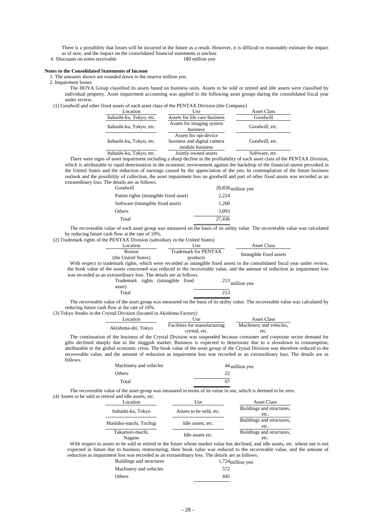There is a possibility that losses will be incurred in the future as a result. However, it is difficult to reasonably estimate the impact as of now, and the impact on the consolidated financial statements is unclear.

4. Discounts on notes receivable 180 million yen

#### **Notes to the Consolidated Statements of Income**

1. The amounts shown are rounded down to the nearest million yen.

2. Impairment losses

The HOYA Group classified its assets based on business units. Assets to be sold or retired and idle assets were classified by individual property. Asset impairment accounting was applied to the following asset groups during the consolidated fiscal year under review.

(1) Goodwill and other fixed assets of each asset class of the PENTAX Division (the Company)

| Location                 | Use                                                                     | <b>Asset Class</b> |
|--------------------------|-------------------------------------------------------------------------|--------------------|
| Itabashi-ku, Tokyo, etc. | Assets for life care business                                           | Goodwill           |
| Itabashi-ku, Tokyo, etc. | Assets for imaging system<br>business                                   | Goodwill, etc.     |
| Itabashi-ku, Tokyo, etc. | Assets for opt-device<br>business and digital camera<br>module business | Goodwill, etc.     |
| Itabashi-ku, Tokyo, etc. | Jointly-owned assets                                                    | Software, etc.     |

There were signs of asset impairment including a sharp decline in the profitability of each asset class of the PENTAX Division, which is attributable to rapid deterioration in the economic environment against the backdrop of the financial unrest provoked in the United States and the reduction of earnings caused by the appreciation of the yen. In contemplation of the future business outlook and the possibility of collection, the asset impairment loss on goodwill and part of other fixed assets was recorded as an extraordinary loss. The details are as follows.

| Goodwill                               | $20,858$ million yen |
|----------------------------------------|----------------------|
| Patent rights (intangible fixed asset) | 2.224                |
| Software (intangible fixed asset)      | 1.260                |
| Others                                 | 3.093                |
| Total                                  | 27.436               |

The recoverable value of each asset group was measured on the basis of its utility value. The recoverable value was calculated by reducing future cash flow at the rate of 10%.

(2) Trademark rights of the PENTAX Division (subsidiary in the United States)

| Location            | Use                  | Asset Class             |
|---------------------|----------------------|-------------------------|
| <b>Boston</b>       | Trademark for PENTAX | Intangible fixed assets |
| (the United States) | products             |                         |

With respect to trademark rights, which were recorded as intangible fixed assets in the consolidated fiscal year under review, the book value of the assets concerned was reduced to the recoverable value, and the amount of reduction as impairment loss was recorded as an extraordinary loss. The details are as follows.

| asset) | Trademark rights (intangible fixed | $213$ million yen |  |
|--------|------------------------------------|-------------------|--|
| Total  |                                    | 213               |  |

The recoverable value of the asset group was measured on the basis of its utility value. The recoverable value was calculated by reducing future cash flow at the rate of 16%.

(3) Tokyo Studio in the Crystal Division (located in Akishima Factory)

| Location            | Use                          | Asset Class             |
|---------------------|------------------------------|-------------------------|
| Akishima-shi, Tokyo | Facilities for manufacturing | Machinery and vehicles, |
|                     | crystal, etc.                | etc.                    |

The continuation of the business of the Crystal Division was suspended because consumer and corporate sector demand for gifts declined sharply due to the sluggish market. Business is expected to deteriorate due to a slowdown in consumption, attributable to the global economic crisis. The book value of the asset group of the Crystal Division was therefore reduced to the recoverable value, and the amount of reduction as impairment loss was recorded as an extraordinary loss. The details are as follows. Machinery and vehicles 44 million yen

| Machinery and vehicles | $44$ million ye |
|------------------------|-----------------|
| Others                 |                 |
| Total                  | 67              |

The recoverable value of the asset group was measured in terms of its value in use, which is deemed to be zero. (4) Assets to be sold or retired and idle assets, etc.

| Location                  | Use                     | <b>Asset Class</b>                |
|---------------------------|-------------------------|-----------------------------------|
| Itabashi-ku, Tokyo        | Assets to be sold, etc. | Buildings and structures,<br>etc. |
| Mashiko-machi, Tochigi    | Idle assets, etc.       | Buildings and structures,<br>etc. |
| Takamori-machi,<br>Nagano | Idle assets etc.        | Buildings and structures,<br>etc. |

With respect to assets to be sold or retired in the future whose market value has declined, and idle assets, etc. whose use is not expected in future due to business restructuring, their book value was reduced to the recoverable value, and the amount of reduction as impairment loss was recorded as an extraordinary loss. The details are as follows.

| Buildings and structures | $1,724$ million yen |
|--------------------------|---------------------|
| Machinery and vehicles   | 572                 |
| Others                   | 445                 |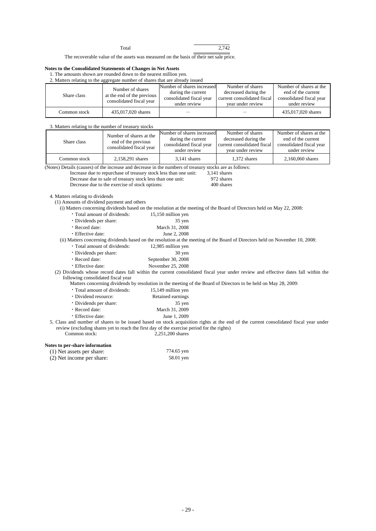Total 2,742

The recoverable value of the assets was measured on the basis of their net sale price.

### **Notes to the Consolidated Statements of Changes in Net Assets**

|  |                                           |  |  | 1. The amounts shown are rounded down to the nearest million yen. |  |  |  |  |
|--|-------------------------------------------|--|--|-------------------------------------------------------------------|--|--|--|--|
|  | $\sim$ $\sim$ $\sim$ $\sim$ $\sim$ $\sim$ |  |  |                                                                   |  |  |  |  |

| 2. Matters relating to the aggregate number of shares that are already issued |                            |  |
|-------------------------------------------------------------------------------|----------------------------|--|
|                                                                               | Number of charge increased |  |

|              | Number of shares                                       | Number of shares increased<br>Number of shares<br>decreased during the<br>during the current |                                                  | Number of shares at the<br>end of the current |
|--------------|--------------------------------------------------------|----------------------------------------------------------------------------------------------|--------------------------------------------------|-----------------------------------------------|
| Share class  | at the end of the previous<br>consolidated fiscal year | consolidated fiscal year<br>under review                                                     | current consolidated fiscal<br>vear under review | consolidated fiscal year<br>under review      |
| Common stock | 435,017,020 shares                                     |                                                                                              |                                                  | 435,017,020 shares                            |

### 3. Matters relating to the number of treasury stocks

|              | Number of shares at the  | Number of shares increased | Number of shares            | Number of shares at the  |  |
|--------------|--------------------------|----------------------------|-----------------------------|--------------------------|--|
| Share class  | end of the previous      | during the current         | decreased during the        | end of the current       |  |
|              | consolidated fiscal year | consolidated fiscal year   | current consolidated fiscal | consolidated fiscal year |  |
|              |                          | under review               | vear under review           | under review             |  |
| Common stock | 2,158,291 shares         | $3.141$ shares             | 1.372 shares                | 2,160,060 shares         |  |

(Notes) Details (causes) of the increase and decrease in the numbers of treasury stocks are as follows:

Increase due to repurchase of treasury stock less than one unit: 3,141 shares<br>Decrease due to sale of treasury stock less than one unit: 972 shares

Decrease due to sale of treasury stock less than one unit: 972 shares<br>Decrease due to the exercise of stock options: 400 shares Decrease due to the exercise of stock options:

4. Matters relating to dividends

(1) Amounts of dividend payment and others

(i) Matters concerning dividends based on the resolution at the meeting of the Board of Directors held on May 22, 2008:

| • Total amount of dividends: | 15,150 million yen |
|------------------------------|--------------------|
| • Dividends per share:       | $35$ yen           |
| $\cdot$ Record date:         | March 31, 2008     |

| • Effective date: | June 2, 2008 |
|-------------------|--------------|

(ii) Matters concerning dividends based on the resolution at the meeting of the Board of Directors held on November 10, 2008:

• Total amount of dividends:

| • Dividends per share: | 30 yen |
|------------------------|--------|
|                        |        |

- \* Record date: September 30, 2008<br>
\* Effective date: November 25, 2008
	- November 25, 2008

(2) Dividends whose record dates fall within the current consolidated fiscal year under review and effective dates fall within the following consolidated fiscal year

Matters concerning dividends by resolution in the meeting of the Board of Directors to be held on May 28, 2009:

| · Total amount of dividends: | 15,149 million yen |
|------------------------------|--------------------|
| • Dividend resource:         | Retained earnings  |
| • Dividends per share:       | 35 yen             |
| · Record date:               | March 31, 2009     |
| • Effective date:            | June 1, 2009       |

5. Class and number of shares to be issued based on stock acquisition rights at the end of the current consolidated fiscal year under review (excluding shares yet to reach the first day of the exercise period for the rights) Common stock: 2,251,200 shares

### **Notes to per-share information**

| (1) Net assets per share: | 774.65 yen |
|---------------------------|------------|
| (2) Net income per share: | 58.01 yen  |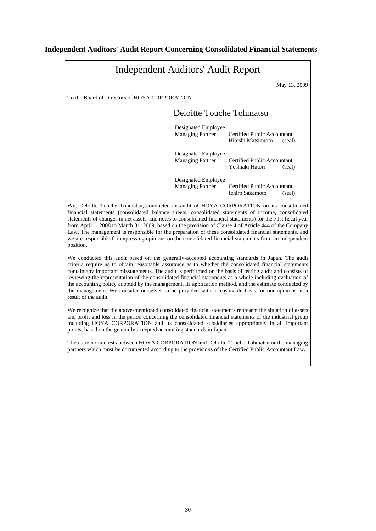# **Independent Auditors' Audit Report Concerning Consolidated Financial Statements**

| <b>Independent Auditors' Audit Report</b>                                                                                                                                                                                                                                                                                                                                                                                                                                                                                                                                                                                                                                   |                                                |                                                            |  |  |  |
|-----------------------------------------------------------------------------------------------------------------------------------------------------------------------------------------------------------------------------------------------------------------------------------------------------------------------------------------------------------------------------------------------------------------------------------------------------------------------------------------------------------------------------------------------------------------------------------------------------------------------------------------------------------------------------|------------------------------------------------|------------------------------------------------------------|--|--|--|
|                                                                                                                                                                                                                                                                                                                                                                                                                                                                                                                                                                                                                                                                             |                                                | May 13, 2009                                               |  |  |  |
| To the Board of Directors of HOYA CORPORATION                                                                                                                                                                                                                                                                                                                                                                                                                                                                                                                                                                                                                               |                                                |                                                            |  |  |  |
|                                                                                                                                                                                                                                                                                                                                                                                                                                                                                                                                                                                                                                                                             | <b>Deloitte Touche Tohmatsu</b>                |                                                            |  |  |  |
|                                                                                                                                                                                                                                                                                                                                                                                                                                                                                                                                                                                                                                                                             | Designated Employee<br><b>Managing Partner</b> | Certified Public Accountant<br>Hitoshi Matsumoto<br>(seal) |  |  |  |
|                                                                                                                                                                                                                                                                                                                                                                                                                                                                                                                                                                                                                                                                             | Designated Employee<br><b>Managing Partner</b> | Certified Public Accountant<br>Yoshiaki Hatori<br>(seal)   |  |  |  |
|                                                                                                                                                                                                                                                                                                                                                                                                                                                                                                                                                                                                                                                                             | Designated Employee<br><b>Managing Partner</b> | Certified Public Accountant<br>Ichiro Sakamoto<br>(seal)   |  |  |  |
| We, Deloitte Touche Tohmatsu, conducted an audit of HOYA CORPORATION on its consolidated<br>financial statements (consolidated balance sheets, consolidated statements of income, consolidated<br>statements of changes in net assets, and notes to consolidated financial statements) for the 71st fiscal year<br>from April 1, 2008 to March 31, 2009, based on the provision of Clause 4 of Article 444 of the Company<br>Law. The management is responsible for the preparation of these consolidated financial statements, and<br>we are responsible for expressing opinions on the consolidated financial statements from an independent<br>position.                 |                                                |                                                            |  |  |  |
| We conducted this audit based on the generally-accepted accounting standards in Japan. The audit<br>criteria require us to obtain reasonable assurance as to whether the consolidated financial statements<br>contain any important misstatements. The audit is performed on the basis of testing audit and consists of<br>reviewing the representation of the consolidated financial statements as a whole including evaluation of<br>the accounting policy adopted by the management, its application method, and the estimate conducted by<br>the management. We consider ourselves to be provided with a reasonable basis for our opinions as a<br>result of the audit. |                                                |                                                            |  |  |  |
| We recognize that the above-mentioned consolidated financial statements represent the situation of assets<br>and profit and loss in the period concerning the consolidated financial statements of the industrial group<br>including HOYA CORPORATION and its consolidated subsidiaries appropriately in all important<br>points, based on the generally-accepted accounting standards in Japan.                                                                                                                                                                                                                                                                            |                                                |                                                            |  |  |  |

There are no interests between HOYA CORPORATION and Deloitte Touche Tohmatsu or the managing partners which must be documented according to the provisions of the Certified Public Accountant Law.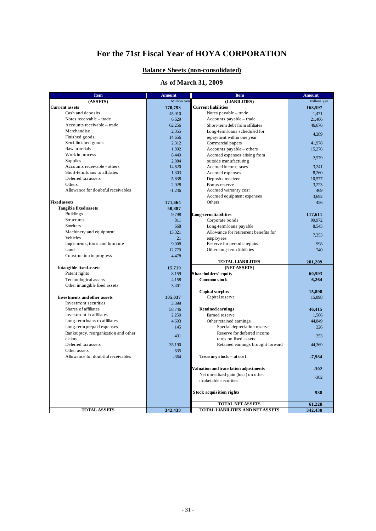# **For the 71st Fiscal Year of HOYA CORPORATION**

### **Balance Sheets (non-consolidated)**

# **As of March 31, 2009**

| <b>Item</b>                          | <b>Amount</b> | <b>Item</b>                             | <b>Amount</b> |
|--------------------------------------|---------------|-----------------------------------------|---------------|
| (ASSETS)                             | Million yen   | (LIABILITIES)                           | Million yen   |
| <b>Current assets</b>                | 170,793       | <b>Current liabilities</b>              | 163,597       |
| Cash and deposits                    | 45,910        | Notes payable – trade                   | 1,471         |
| Notes receivable – trade             | 6,629         | Accounts payable - trade                | 21,406        |
| Accounts receivable – trade          | 62,256        | Short-term debt from affiliates         | 46,676        |
| Merchandise                          | 2,355         | Long-term loans scheduled for           | 4,289         |
| Finished goods                       | 14,656        | repayment within one year               |               |
| Semi-finished goods                  | 2,312         | Commercial papers                       | 41,978        |
| Raw materials                        | 1,892         | Accounts payable - others               | 15,276        |
| Work in process                      | 8,449         | Accrued expenses arising from           |               |
| <b>Supplies</b>                      | 2,884         | outside manufacturing                   | 2,579         |
| Accounts receivable - others         | 14,620        | Accrued income taxes                    | 3,241         |
| Short-term loans to affiliates       | 1,303         | Accrued expenses                        | 8,260         |
| Deferred tax assets                  | 5,838         | Deposits received                       | 10,577        |
| Others                               | 2,928         | Bonus reserve                           | 3,223         |
| Allowance for doubtful receivables   | $-1,246$      | Accrued warranty cost                   | 469           |
|                                      |               | Accrued equipment expenses              | 3,692         |
| <b>Fixed assets</b>                  | 171,664       | Others                                  | 456           |
| <b>Tangible fixed assets</b>         | 50,887        |                                         |               |
| <b>Buildings</b>                     | 9.798         | Long-term liabilities                   | 117,611       |
| <b>Structures</b>                    | 811           | Corporate bonds                         | 99,972        |
| <b>Smelters</b>                      | 668           | Long-term loans payable                 | 8,545         |
| Machinery and equipment              | 13,321        | Allowance for retirement benefits for   |               |
| Vehicles                             | 21            | employees                               | 7,353         |
| Implements, tools and furniture      | 9,008         | Reserve for periodic repairs            | 998           |
| Land                                 | 12,779        | Other long-term liabilities             | 740           |
| Construction in progress             | 4,478         |                                         |               |
|                                      |               | <b>TOTAL LIABILITIES</b>                | 281,209       |
| <b>Intangible fixed assets</b>       | 15.719        | (NET ASSETS)                            |               |
| Patent rights                        | 8,159         | Shareholders' equity                    | 60,593        |
| Technological assets                 | 4,158         | <b>Common stock</b>                     | 6,264         |
| Other intangible fixed assets        | 3,401         |                                         |               |
|                                      |               | Capital surplus                         | 15,898        |
| <b>Investments and other assets</b>  | 105,037       | Capital reserve                         | 15,898        |
| Investment securities                | 3.399         |                                         |               |
| Shares of affiliates                 | 58,746        | <b>Retained earnings</b>                | 46,415        |
| Investment in affiliates             | 2.250         | Earned reserve                          | 1.566         |
| Long-term loans to affiliates        | 4,603         | Other retained earnings                 | 44,849        |
| Long-term prepaid expenses           | 145           | Special depreciation reserve            | 226           |
| Bankruptcy, reorganization and other | 431           | Reserve for deferred income             | 253           |
| claims                               |               | taxes on fixed assets                   |               |
| Deferred tax assets                  | 35,190        | Retained earnings brought forward       | 44,369        |
| Other assets                         | 635           |                                         |               |
| Allowance for doubtful receivables   | $-364$        | Treasury stock - at cost                | $-7,984$      |
|                                      |               |                                         |               |
|                                      |               | Valuation and translation adjustments   | $-302$        |
|                                      |               | Net unrealized gain (loss) on other     | $-302$        |
|                                      |               | marketable securities                   |               |
|                                      |               |                                         |               |
|                                      |               | <b>Stock acquisition rights</b>         | 938           |
|                                      |               | <b>TOTAL NET ASSETS</b>                 | 61,228        |
| <b>TOTAL ASSETS</b>                  | 342,438       | <b>TOTAL LIABILITIES AND NET ASSETS</b> | 342,438       |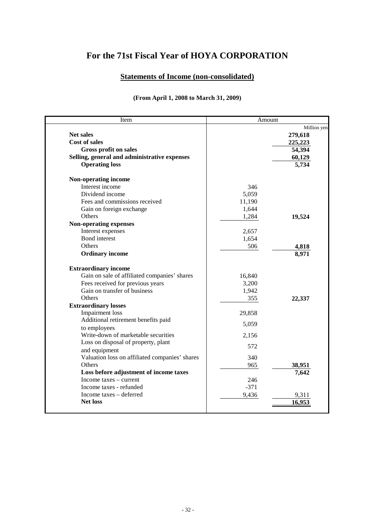# **For the 71st Fiscal Year of HOYA CORPORATION**

# **Statements of Income (non-consolidated)**

# **(From April 1, 2008 to March 31, 2009)**

| Item                                           | Amount |             |
|------------------------------------------------|--------|-------------|
|                                                |        | Million yen |
| <b>Net sales</b>                               |        | 279,618     |
| <b>Cost of sales</b>                           |        | 225,223     |
| <b>Gross profit on sales</b>                   |        | 54,394      |
| Selling, general and administrative expenses   |        | 60,129      |
| <b>Operating loss</b>                          |        | 5,734       |
| Non-operating income                           |        |             |
| Interest income                                | 346    |             |
| Dividend income                                | 5,059  |             |
| Fees and commissions received                  | 11,190 |             |
| Gain on foreign exchange                       | 1,644  |             |
| Others                                         | 1,284  | 19,524      |
| <b>Non-operating expenses</b>                  |        |             |
| Interest expenses                              | 2,657  |             |
| <b>Bond</b> interest                           | 1,654  |             |
| Others                                         | 506    | 4,818       |
| <b>Ordinary income</b>                         |        | 8,971       |
| <b>Extraordinary income</b>                    |        |             |
| Gain on sale of affiliated companies' shares   | 16,840 |             |
| Fees received for previous years               | 3,200  |             |
| Gain on transfer of business                   | 1,942  |             |
| Others                                         | 355    | 22,337      |
| <b>Extraordinary losses</b>                    |        |             |
| <b>Impairment</b> loss                         | 29,858 |             |
| Additional retirement benefits paid            |        |             |
| to employees                                   | 5,059  |             |
| Write-down of marketable securities            | 2,156  |             |
| Loss on disposal of property, plant            |        |             |
| and equipment                                  | 572    |             |
| Valuation loss on affiliated companies' shares | 340    |             |
| Others                                         | 965    | 38,951      |
| Loss before adjustment of income taxes         |        | 7,642       |
| Income taxes – current                         | 246    |             |
| Income taxes - refunded                        | $-371$ |             |
| Income taxes - deferred                        | 9,436  | 9,311       |
| <b>Net loss</b>                                |        | 16,953      |
|                                                |        |             |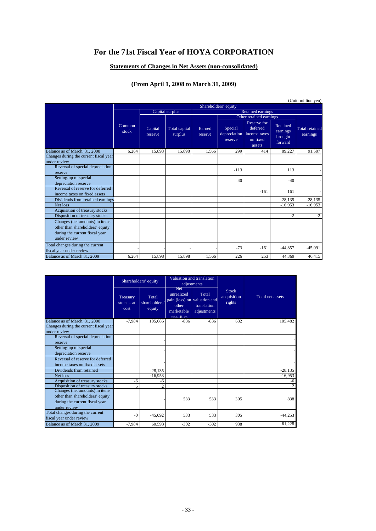# **For the 71st Fiscal Year of HOYA CORPORATION**

### **Statements of Changes in Net Assets (non-consolidated)**

# **(From April 1, 2008 to March 31, 2009)**

|                                                                                                                     |                 |                                      |        |                    |                          |                   |                                    | (Unit: million yen)                                           |                                            |                                   |
|---------------------------------------------------------------------------------------------------------------------|-----------------|--------------------------------------|--------|--------------------|--------------------------|-------------------|------------------------------------|---------------------------------------------------------------|--------------------------------------------|-----------------------------------|
|                                                                                                                     |                 |                                      |        |                    | Shareholders' equity     |                   |                                    |                                                               |                                            |                                   |
|                                                                                                                     |                 | Capital surplus<br>Retained earnings |        |                    |                          |                   |                                    |                                                               |                                            |                                   |
|                                                                                                                     |                 |                                      |        |                    | Other retained earnings  |                   |                                    |                                                               |                                            |                                   |
|                                                                                                                     | Common<br>stock |                                      |        | Capital<br>reserve | Total capital<br>surplus | Earned<br>reserve | Special<br>depreciation<br>reserve | Reserve for<br>deferred<br>income taxes<br>on fixed<br>assets | Retained<br>earnings<br>brought<br>forward | <b>Total retained</b><br>earnings |
| Balance as of March, 31, 2008                                                                                       | 6,264           | 15.898                               | 15.898 | 1.566              | 299                      | 414               | 89.227                             | 91,507                                                        |                                            |                                   |
| Changes during the current fiscal year<br>under review                                                              |                 |                                      |        |                    |                          |                   |                                    |                                                               |                                            |                                   |
| Reversal of special depreciation<br>reserve                                                                         |                 |                                      |        |                    | $-113$                   |                   | 113                                |                                                               |                                            |                                   |
| Setting-up of special<br>depreciation reserve                                                                       |                 |                                      |        |                    | 40                       |                   | $-40$                              |                                                               |                                            |                                   |
| Reversal of reserve for deferred<br>income taxes on fixed assets                                                    |                 |                                      |        |                    |                          | $-161$            | 161                                |                                                               |                                            |                                   |
| Dividends from retained earnings                                                                                    |                 |                                      |        |                    |                          |                   | $-28.135$                          | $-28,135$                                                     |                                            |                                   |
| Net loss                                                                                                            |                 |                                      |        |                    |                          |                   | $-16,953$                          | $-16,953$                                                     |                                            |                                   |
| Acquisition of treasury stocks                                                                                      |                 |                                      |        |                    |                          |                   |                                    |                                                               |                                            |                                   |
| Disposition of treasury stocks                                                                                      |                 |                                      |        |                    |                          |                   | $-2$                               | $-2$                                                          |                                            |                                   |
| Changes (net amounts) in items<br>other than shareholders' equity<br>during the current fiscal year<br>under review |                 |                                      |        |                    |                          |                   |                                    |                                                               |                                            |                                   |
| Total changes during the current<br>fiscal year under review                                                        |                 |                                      |        |                    | $-73$                    | $-161$            | $-44,857$                          | $-45,091$                                                     |                                            |                                   |
| Balance as of March 31, 2009                                                                                        | 6.264           | 15,898                               | 15.898 | 1.566              | 226                      | 253               | 44,369                             | 46,415                                                        |                                            |                                   |

|                                        | Shareholders' equity             |                                  | Valuation and translation<br>adjustments                      |                                                                     |                                       |                  |
|----------------------------------------|----------------------------------|----------------------------------|---------------------------------------------------------------|---------------------------------------------------------------------|---------------------------------------|------------------|
|                                        | Treasury<br>$stock - at$<br>cost | Total<br>shareholders'<br>equity | <b>Net</b><br>unrealized<br>other<br>marketable<br>securities | Total<br>gain (loss) on valuation and<br>translation<br>adjustments | <b>Stock</b><br>acquisition<br>rights | Total net assets |
| Balance as of March, 31, 2008          | $-7.984$                         | 105,685                          | $-836$                                                        | $-836$                                                              | 632                                   | 105.482          |
| Changes during the current fiscal year |                                  |                                  |                                                               |                                                                     |                                       |                  |
| under review                           |                                  |                                  |                                                               |                                                                     |                                       |                  |
| Reversal of special depreciation       |                                  |                                  |                                                               |                                                                     |                                       |                  |
| reserve                                |                                  |                                  |                                                               |                                                                     |                                       |                  |
| Setting-up of special                  |                                  |                                  |                                                               |                                                                     |                                       |                  |
| depreciation reserve                   |                                  |                                  |                                                               |                                                                     |                                       |                  |
| Reversal of reserve for deferred       |                                  |                                  |                                                               |                                                                     |                                       |                  |
| income taxes on fixed assets           |                                  |                                  |                                                               |                                                                     |                                       |                  |
| Dividends from retained                |                                  | $-28,135$                        |                                                               |                                                                     |                                       | $-28,135$        |
| Net loss                               |                                  | $-16,953$                        |                                                               |                                                                     |                                       | $-16.953$        |
| Acquisition of treasury stocks         | -6                               | -6                               |                                                               |                                                                     |                                       | -6               |
| Disposition of treasury stocks         | 5                                | $\overline{c}$                   |                                                               |                                                                     |                                       | $\overline{2}$   |
| Changes (net amounts) in items         |                                  |                                  |                                                               |                                                                     |                                       |                  |
| other than shareholders' equity        |                                  |                                  | 533                                                           | 533                                                                 | 305                                   | 838              |
| during the current fiscal year         |                                  |                                  |                                                               |                                                                     |                                       |                  |
| under review                           |                                  |                                  |                                                               |                                                                     |                                       |                  |
| Total changes during the current       | $-()$                            | $-45.092$                        | 533                                                           | 533                                                                 | 305                                   | $-44,253$        |
| fiscal year under review               |                                  |                                  |                                                               |                                                                     |                                       |                  |
| Balance as of March 31, 2009           | $-7,984$                         | 60,593                           | $-302$                                                        | $-302$                                                              | 938                                   | 61,228           |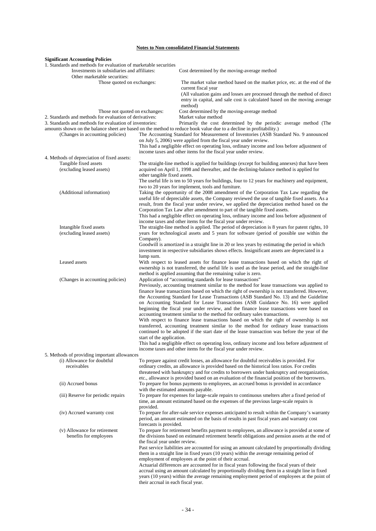### **Notes to Non-consolidated Financial Statements**

| <b>Significant Accounting Policies</b>                                                                                                          |                                     |                                                                                                                                                                                                                                                                                                                                                                                                                                                                                                                                                                                                                        |
|-------------------------------------------------------------------------------------------------------------------------------------------------|-------------------------------------|------------------------------------------------------------------------------------------------------------------------------------------------------------------------------------------------------------------------------------------------------------------------------------------------------------------------------------------------------------------------------------------------------------------------------------------------------------------------------------------------------------------------------------------------------------------------------------------------------------------------|
| 1. Standards and methods for evaluation of marketable securities<br>Investments in subsidiaries and affiliates:<br>Other marketable securities: |                                     | Cost determined by the moving-average method                                                                                                                                                                                                                                                                                                                                                                                                                                                                                                                                                                           |
| Those quoted on exchanges:                                                                                                                      |                                     | The market value method based on the market price, etc. at the end of the<br>current fiscal year<br>(All valuation gains and losses are processed through the method of direct                                                                                                                                                                                                                                                                                                                                                                                                                                         |
| Those not quoted on exchanges:                                                                                                                  |                                     | entry in capital, and sale cost is calculated based on the moving average<br>method)<br>Cost determined by the moving-average method                                                                                                                                                                                                                                                                                                                                                                                                                                                                                   |
| 2. Standards and methods for evaluation of derivatives:<br>3. Standards and methods for evaluation of inventories:                              |                                     | Market value method<br>Primarily the cost determined by the periodic average method (The                                                                                                                                                                                                                                                                                                                                                                                                                                                                                                                               |
| (Changes in accounting policies)                                                                                                                |                                     | amounts shown on the balance sheet are based on the method to reduce book value due to a decline in profitability.)<br>The Accounting Standard for Measurement of Inventories (ASB Standard No. 9 announced<br>on July 5, 2006) were applied from the fiscal year under review.                                                                                                                                                                                                                                                                                                                                        |
|                                                                                                                                                 |                                     | This had a negligible effect on operating loss, ordinary income and loss before adjustment of<br>income taxes and other items for the fiscal year under review.                                                                                                                                                                                                                                                                                                                                                                                                                                                        |
| 4. Methods of depreciation of fixed assets:<br>Tangible fixed assets<br>(excluding leased assets)                                               | other tangible fixed assets.        | The straight-line method is applied for buildings (except for building annexes) that have been<br>acquired on April 1, 1998 and thereafter, and the declining-balance method is applied for<br>The useful life is ten to 50 years for buildings, four to 12 years for machinery and equipment,                                                                                                                                                                                                                                                                                                                         |
| (Additional information)                                                                                                                        |                                     | two to 20 years for implement, tools and furniture.<br>Taking the opportunity of the 2008 amendment of the Corporation Tax Law regarding the                                                                                                                                                                                                                                                                                                                                                                                                                                                                           |
|                                                                                                                                                 |                                     | useful life of depreciable assets, the Company reviewed the use of tangible fixed assets. As a<br>result, from the fiscal year under review, we applied the depreciation method based on the<br>Corporation Tax Law after amendment to part of the tangible fixed assets.<br>This had a negligible effect on operating loss, ordinary income and loss before adjustment of                                                                                                                                                                                                                                             |
| Intangible fixed assets<br>(excluding leased assets)                                                                                            | Company).                           | income taxes and other items for the fiscal year under review.<br>The straight-line method is applied. The period of depreciation is 8 years for patent rights, 10<br>years for technological assets and 5 years for software (period of possible use within the                                                                                                                                                                                                                                                                                                                                                       |
|                                                                                                                                                 | lump sum.                           | Goodwill is amortized in a straight line in 20 or less years by estimating the period in which<br>investment in respective subsidiaries shows effects. Insignificant assets are depreciated in a                                                                                                                                                                                                                                                                                                                                                                                                                       |
| Leased assets                                                                                                                                   |                                     | With respect to leased assets for finance lease transactions based on which the right of<br>ownership is not transferred, the useful life is used as the lease period, and the straight-line<br>method is applied assuming that the remaining value is zero.                                                                                                                                                                                                                                                                                                                                                           |
| (Changes in accounting policies)                                                                                                                |                                     | Application of "accounting standards for lease transactions"<br>Previously, accounting treatment similar to the method for lease transactions was applied to<br>finance lease transactions based on which the right of ownership is not transferred. However,<br>the Accounting Standard for Lease Transactions (ASB Standard No. 13) and the Guideline<br>on Accounting Standard for Lease Transactions (ASB Guidance No. 16) were applied<br>beginning the fiscal year under review, and the finance lease transactions were based on<br>accounting treatment similar to the method for ordinary sales transactions. |
|                                                                                                                                                 | start of the application.           | With respect to finance lease transactions based on which the right of ownership is not<br>transferred, accounting treatment similar to the method for ordinary lease transactions<br>continued to be adopted if the start date of the lease transaction was before the year of the<br>This had a negligible effect on operating loss, ordinary income and loss before adjustment of                                                                                                                                                                                                                                   |
| 5. Methods of providing important allowances                                                                                                    |                                     | income taxes and other items for the fiscal year under review.                                                                                                                                                                                                                                                                                                                                                                                                                                                                                                                                                         |
| (i) Allowance for doubtful<br>receivables                                                                                                       |                                     | To prepare against credit losses, an allowance for doubtful receivables is provided. For<br>ordinary credits, an allowance is provided based on the historical loss ratios. For credits<br>threatened with bankruptcy and for credits to borrowers under bankruptcy and reorganization,<br>etc., allowance is provided based on an evaluation of the financial position of the borrowers.                                                                                                                                                                                                                              |
| (ii) Accrued bonus                                                                                                                              | with the estimated amounts payable. | To prepare for bonus payments to employees, an accrued bonus is provided in accordance                                                                                                                                                                                                                                                                                                                                                                                                                                                                                                                                 |
| (iii) Reserve for periodic repairs                                                                                                              | provided.                           | To prepare for expenses for large-scale repairs to continuous smelters after a fixed period of<br>time, an amount estimated based on the expenses of the previous large-scale repairs is                                                                                                                                                                                                                                                                                                                                                                                                                               |
| (iv) Accrued warranty cost                                                                                                                      | forecasts is provided.              | To prepare for after-sale service expenses anticipated to result within the Company's warranty<br>period, an amount estimated on the basis of results in past fiscal years and warranty cost                                                                                                                                                                                                                                                                                                                                                                                                                           |
| (v) Allowance for retirement<br>benefits for employees                                                                                          | the fiscal year under review.       | To prepare for retirement benefits payment to employees, an allowance is provided at some of<br>the divisions based on estimated retirement benefit obligations and pension assets at the end of<br>Past service liabilities are accounted for using an amount calculated by proportionally dividing<br>them in a straight line in fixed years (10 years) within the average remaining period of                                                                                                                                                                                                                       |
|                                                                                                                                                 | their accrual in each fiscal year.  | employment of employees at the point of their accrual.<br>Actuarial differences are accounted for in fiscal years following the fiscal years of their<br>accrual using an amount calculated by proportionally dividing them in a straight line in fixed<br>years (10 years) within the average remaining employment period of employees at the point of                                                                                                                                                                                                                                                                |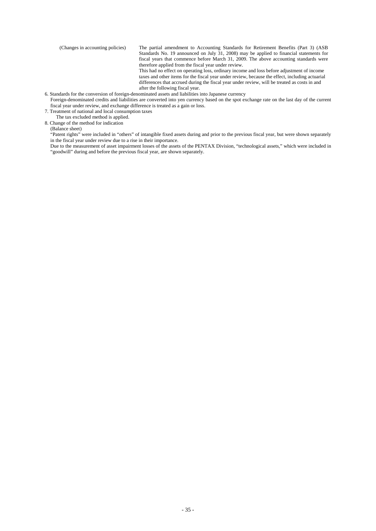(Changes in accounting policies) The partial amendment to Accounting Standards for Retirement Benefits (Part 3) (ASB Standards No. 19 announced on July 31, 2008) may be applied to financial statements for fiscal years that commence before March 31, 2009. The above accounting standards were therefore applied from the fiscal year under review.

This had no effect on operating loss, ordinary income and loss before adjustment of income taxes and other items for the fiscal year under review, because the effect, including actuarial differences that accrued during the fiscal year under review, will be treated as costs in and after the following fiscal year.

6. Standards for the conversion of foreign-denominated assets and liabilities into Japanese currency

Foreign-denominated credits and liabilities are converted into yen currency based on the spot exchange rate on the last day of the current fiscal year under review, and exchange difference is treated as a gain or loss.

7. Treatment of national and local consumption taxes

The tax excluded method is applied.

8. Change of the method for indication

(Balance sheet)

"Patent rights" were included in "others" of intangible fixed assets during and prior to the previous fiscal year, but were shown separately in the fiscal year under review due to a rise in their importance.

Due to the measurement of asset impairment losses of the assets of the PENTAX Division, "technological assets," which were included in "goodwill" during and before the previous fiscal year, are shown separately.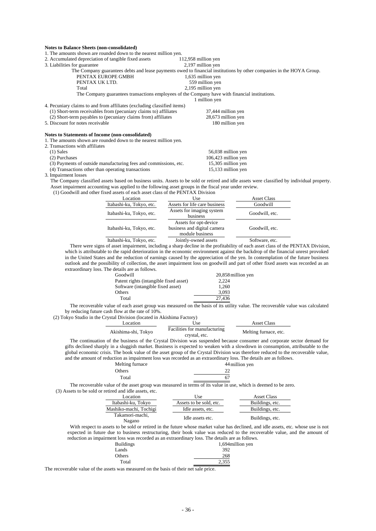### **Notes to Balance Sheets (non-consolidated)**

| TOICS to Balance Succis (non-consonuateu)                               |                                                                                                                      |
|-------------------------------------------------------------------------|----------------------------------------------------------------------------------------------------------------------|
| 1. The amounts shown are rounded down to the nearest million yen.       |                                                                                                                      |
| 2. Accumulated depreciation of tangible fixed assets                    | 112,958 million yen                                                                                                  |
| 3. Liabilities for guarantee                                            | 2,197 million yen                                                                                                    |
|                                                                         | The Company guarantees debts and lease payments owed to financial institutions by other companies in the HOYA Group. |
| PENTAX EUROPE GMBH                                                      | 1,635 million yen                                                                                                    |
| PENTAX UK LTD.                                                          | 559 million yen                                                                                                      |
| Total                                                                   | 2,195 million yen                                                                                                    |
|                                                                         | The Company guarantees transactions employees of the Company have with financial institutions.                       |
|                                                                         | 1 million yen                                                                                                        |
| 4. Pecuniary claims to and from affiliates (excluding classified items) |                                                                                                                      |
| (1) Short-term receivables from (pecuniary claims to) affiliates        | 37,444 million yen                                                                                                   |
| (2) Short-term payables to (pecuniary claims from) affiliates           | 28,673 million yen                                                                                                   |
| 5. Discount for notes receivable                                        | 180 million yen                                                                                                      |
| Notes to Statements of Income (non-consolidated)                        |                                                                                                                      |
| 1. The amounts shown are rounded down to the nearest million yen.       |                                                                                                                      |
| 2. Transactions with affiliates                                         |                                                                                                                      |
| $(1)$ Sales                                                             | 56,038 million yen                                                                                                   |
| (2) Purchases                                                           | 106,423 million yen                                                                                                  |
| (3) Payments of outside manufacturing fees and commissions, etc.        | 15,305 million yen                                                                                                   |
| (4) Transactions other than operating transactions                      | 15,133 million yen                                                                                                   |
| 3. Impairment losses                                                    |                                                                                                                      |

The Company classified assets based on business units. Assets to be sold or retired and idle assets were classified by individual property. Asset impairment accounting was applied to the following asset groups in the fiscal year under review.

(1) Goodwill and other fixed assets of each asset class of the PENTAX Division

| Location                 | Use                                                                     | <b>Asset Class</b> |
|--------------------------|-------------------------------------------------------------------------|--------------------|
| Itabashi-ku, Tokyo, etc. | Assets for life care business                                           | Goodwill           |
| Itabashi-ku, Tokyo, etc. | Assets for imaging system<br>business                                   | Goodwill, etc.     |
| Itabashi-ku, Tokyo, etc. | Assets for opt-device<br>business and digital camera<br>module business | Goodwill, etc.     |
| Itabashi-ku, Tokyo, etc. | Jointly-owned assets                                                    | Software, etc.     |

There were signs of asset impairment, including a sharp decline in the profitability of each asset class of the PENTAX Division, which is attributable to the rapid deterioration in the economic environment against the backdrop of the financial unrest provoked in the United States and the reduction of earnings caused by the appreciation of the yen. In contemplation of the future business outlook and the possibility of collection, the asset impairment loss on goodwill and part of other fixed assets was recorded as an extraordinary loss. The details are as follows.

| Goodwill                               | 20,858 million yen |
|----------------------------------------|--------------------|
| Patent rights (intangible fixed asset) | 2.224              |
| Software (intangible fixed asset)      | 1.260              |
| Others                                 | 3.093              |
| Total                                  | 27.436             |

The recoverable value of each asset group was measured on the basis of its utility value. The recoverable value was calculated by reducing future cash flow at the rate of 10%.

(2) Tokyo Studio in the Crystal Division (located in Akishima Factory)

| Location            | Use                                           | <b>Asset Class</b>    |
|---------------------|-----------------------------------------------|-----------------------|
| Akishima-shi, Tokyo | Facilities for manufacturing<br>crystal, etc. | Melting furnace, etc. |

The continuation of the business of the Crystal Division was suspended because consumer and corporate sector demand for gifts declined sharply in a sluggish market. Business is expected to weaken with a slowdown in consumption, attributable to the global economic crisis. The book value of the asset group of the Crystal Division was therefore reduced to the recoverable value, and the amount of reduction as impairment loss was recorded as an extraordinary loss. The details are as follows.

| Melting furnace | 44 million yen |
|-----------------|----------------|
| Others          | 22             |
| Total           | 67             |

The recoverable value of the asset group was measured in terms of its value in use, which is deemed to be zero. (3) Assets to be sold or retired and idle assets, etc.

| Location                  | Use                     | <b>Asset Class</b> |
|---------------------------|-------------------------|--------------------|
| Itabashi-ku, Tokyo        | Assets to be sold, etc. | Buildings, etc.    |
| Mashiko-machi, Tochigi    | Idle assets, etc.       | Buildings, etc.    |
| Takamori-machi,<br>Nagano | Idle assets etc.        | Buildings, etc.    |

With respect to assets to be sold or retired in the future whose market value has declined, and idle assets, etc. whose use is not expected in future due to business restructuring, their book value was reduced to the recoverable value, and the amount of reduction as impairment loss was recorded as an extraordinary loss. The details are as follows.

| <b>Buildings</b> | 1,694 million yen |
|------------------|-------------------|
| Lands            | 392               |
| Others           | 268               |
| Total            | 2,355             |
|                  |                   |

The recoverable value of the assets was measured on the basis of their net sale price.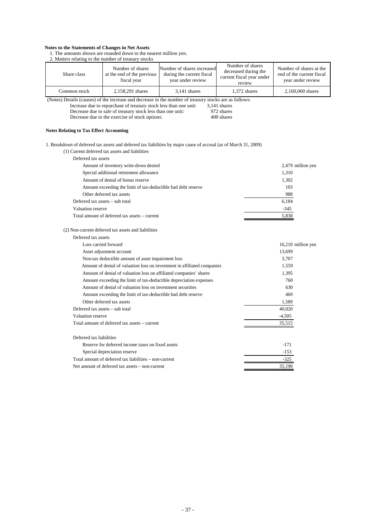#### **Notes to the Statements of Changes in Net Assets**

1. The amounts shown are rounded down to the nearest million yen.

| 2. Matters relating to the number of treasury stocks    |                                                                                                              |                                                                                                                   |                                                                                 |                                                                           |  |  |
|---------------------------------------------------------|--------------------------------------------------------------------------------------------------------------|-------------------------------------------------------------------------------------------------------------------|---------------------------------------------------------------------------------|---------------------------------------------------------------------------|--|--|
| Share class                                             | Number of shares<br>at the end of the previous<br>fiscal year                                                | Number of shares increased<br>during the current fiscal<br>year under review                                      | Number of shares<br>decreased during the<br>current fiscal year under<br>review | Number of shares at the<br>end of the current fiscal<br>year under review |  |  |
| Common stock                                            | 2,158,291 shares                                                                                             | $3.141$ shares                                                                                                    | 1,372 shares                                                                    | 2,160,060 shares                                                          |  |  |
|                                                         |                                                                                                              | (Notes) Details (causes) of the increase and decrease in the number of treasury stocks are as follows:            |                                                                                 |                                                                           |  |  |
|                                                         | Increase due to repurchase of treasury stock less than one unit:                                             |                                                                                                                   | $3,141$ shares                                                                  |                                                                           |  |  |
|                                                         | Decrease due to sale of treasury stock less than one unit:<br>Decrease due to the exercise of stock options: |                                                                                                                   | 972 shares<br>400 shares                                                        |                                                                           |  |  |
|                                                         |                                                                                                              |                                                                                                                   |                                                                                 |                                                                           |  |  |
| <b>Notes Relating to Tax Effect Accounting</b>          |                                                                                                              |                                                                                                                   |                                                                                 |                                                                           |  |  |
|                                                         |                                                                                                              | 1. Breakdown of deferred tax assets and deferred tax liabilities by major cause of accrual (as of March 31, 2009) |                                                                                 |                                                                           |  |  |
|                                                         | (1) Current deferred tax assets and liabilities                                                              |                                                                                                                   |                                                                                 |                                                                           |  |  |
| Deferred tax assets                                     |                                                                                                              |                                                                                                                   |                                                                                 |                                                                           |  |  |
|                                                         | Amount of inventory write-down denied                                                                        |                                                                                                                   |                                                                                 | 2,479 million yen                                                         |  |  |
|                                                         | Special additional retirement allowance                                                                      |                                                                                                                   |                                                                                 | 1,310                                                                     |  |  |
|                                                         | Amount of denial of bonus reserve                                                                            |                                                                                                                   |                                                                                 | 1,302                                                                     |  |  |
|                                                         | Amount exceeding the limit of tax-deductible bad debt reserve                                                |                                                                                                                   |                                                                                 | 103                                                                       |  |  |
| Other deferred tax assets<br>988                        |                                                                                                              |                                                                                                                   |                                                                                 |                                                                           |  |  |
| 6,184<br>Deferred tax assets – sub total                |                                                                                                              |                                                                                                                   |                                                                                 |                                                                           |  |  |
| Valuation reserve                                       |                                                                                                              |                                                                                                                   |                                                                                 | -345                                                                      |  |  |
|                                                         | Total amount of deferred tax assets – current                                                                |                                                                                                                   |                                                                                 | 5,838                                                                     |  |  |
|                                                         | (2) Non-current deferred tax assets and liabilities                                                          |                                                                                                                   |                                                                                 |                                                                           |  |  |
| Deferred tax assets                                     |                                                                                                              |                                                                                                                   |                                                                                 |                                                                           |  |  |
|                                                         | Loss carried forward<br>16,210 million yen                                                                   |                                                                                                                   |                                                                                 |                                                                           |  |  |
|                                                         | Asset adjustment account                                                                                     |                                                                                                                   |                                                                                 | 13,699                                                                    |  |  |
|                                                         | Non-tax deductible amount of asset impairment loss                                                           |                                                                                                                   |                                                                                 | 3,707                                                                     |  |  |
|                                                         |                                                                                                              | Amount of denial of valuation loss on investment in affiliated companies                                          |                                                                                 | 1,559                                                                     |  |  |
|                                                         | Amount of denial of valuation loss on affiliated companies' shares                                           |                                                                                                                   |                                                                                 | 1,395                                                                     |  |  |
|                                                         | Amount exceeding the limit of tax-deductible depreciation expenses                                           |                                                                                                                   |                                                                                 | 760                                                                       |  |  |
|                                                         | Amount of denial of valuation loss on investment securities                                                  |                                                                                                                   |                                                                                 | 630                                                                       |  |  |
|                                                         | 469<br>Amount exceeding the limit of tax-deductible bad debt reserve                                         |                                                                                                                   |                                                                                 |                                                                           |  |  |
|                                                         | Other deferred tax assets<br>1,589                                                                           |                                                                                                                   |                                                                                 |                                                                           |  |  |
|                                                         | Deferred tax assets – sub total<br>40,020                                                                    |                                                                                                                   |                                                                                 |                                                                           |  |  |
|                                                         | Valuation reserve<br>$-4,505$                                                                                |                                                                                                                   |                                                                                 |                                                                           |  |  |
| Total amount of deferred tax assets – current<br>35,515 |                                                                                                              |                                                                                                                   |                                                                                 |                                                                           |  |  |
| Deferred tax liabilities                                |                                                                                                              |                                                                                                                   |                                                                                 |                                                                           |  |  |
|                                                         | Reserve for deferred income taxes on fixed assets                                                            |                                                                                                                   |                                                                                 | $-171$                                                                    |  |  |
|                                                         |                                                                                                              |                                                                                                                   |                                                                                 |                                                                           |  |  |

Special depreciation reserve  $-153$ Total amount of deferred tax liabilities – non-current -325 Net amount of deferred tax assets – non-current 35,190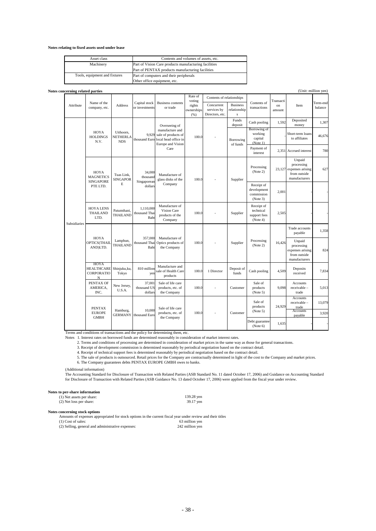**Notes relating to fixed assets used under lease**

| Asset class                   | Contents and volumes of assets, etc.                  |
|-------------------------------|-------------------------------------------------------|
| Machinery                     | Part of Vision Care products manufacturing facilities |
|                               | Part of PENTAX products manufacturing facilities      |
| Tools, equipment and fixtures | Part of computers and their peripherals               |
|                               | Other office equipment, etc.                          |

| Notes concerning related parties |                                                          |                                     |                                              |                                                                                                              |                                                   |                                              |                                                 |                                                     |              |                                                                           | (Unit: million yen) |
|----------------------------------|----------------------------------------------------------|-------------------------------------|----------------------------------------------|--------------------------------------------------------------------------------------------------------------|---------------------------------------------------|----------------------------------------------|-------------------------------------------------|-----------------------------------------------------|--------------|---------------------------------------------------------------------------|---------------------|
| Attribute                        | Name of the<br>company, etc.                             | <b>Address</b>                      | Capital stock<br>or investments              | <b>Business contents</b><br>or trade                                                                         | Rate of<br>voting<br>rights<br>ownerships<br>(96) | Contents of relationships                    |                                                 |                                                     | Transacti    |                                                                           |                     |
|                                  |                                                          |                                     |                                              |                                                                                                              |                                                   | Concurrent<br>services by<br>Directors, etc. | <b>Business</b><br>relationship<br>$\mathbf{s}$ | Contents of<br>transactions                         | on<br>amount | Item                                                                      | Term-end<br>balance |
|                                  | HOYA<br><b>HOLDINGS</b><br>N.V.                          | Uithoorn,<br>NETHERLA<br><b>NDS</b> | 9,929<br>thousand Euro                       | Overseeing of<br>manufacture and<br>sale of products of<br>local head office in<br>Europe and Vision<br>Care | 100.0                                             |                                              | Funds<br>deposit                                | Cash pooling                                        | 1,592        | Deposited<br>money                                                        | 1,307               |
|                                  |                                                          |                                     |                                              |                                                                                                              |                                                   |                                              | Borrowing<br>of funds                           | Borrowing of<br>working<br>capital<br>(Note 1)      |              | Short-term loans<br>to affiliates                                         | 46,676              |
|                                  |                                                          |                                     |                                              |                                                                                                              |                                                   |                                              |                                                 | Payment of<br>interest                              |              | 2,351 Accrued interest                                                    | 780                 |
|                                  | HOYA<br><b>MAGNETICS</b><br><b>SINGAPORE</b><br>PTE LTD. | Tuas Link.<br><b>SINGAPOR</b><br>E  | 34,000<br>thousand<br>Singaporean<br>dollars | Manufacture of<br>glass disks of the<br>Company                                                              | 100.0                                             |                                              | Supplier                                        | Processing<br>(Note 2)                              | 23,127       | Unpaid<br>processing<br>expenses arising<br>from outside<br>manufacturers | 627                 |
|                                  |                                                          |                                     |                                              |                                                                                                              |                                                   |                                              |                                                 | Receipt of<br>development<br>commission<br>(Note 3) | 2,001        |                                                                           |                     |
| <b>Subsidiaries</b>              | <b>HOYA LENS</b><br><b>THAILAND</b><br>LTD.              | Patumthani,<br>THAILAND             | 1.110,000<br>thousand Thai<br>Baht           | Manufacture of<br>Vision Care<br>products of the<br>Company                                                  | 100.0                                             |                                              | Supplier                                        | Receipt of<br>technical<br>support fees<br>(Note 4) | 2,505        |                                                                           |                     |
|                                  | HOYA<br>OPTICS(THAII<br>AND)LTD.                         | Lamphun,<br>THAILAND                | 357,000<br>thousand Thai<br>Baht             | Manufacture of<br>Optics products of<br>the Company                                                          | 100.0                                             |                                              | Supplier                                        | Processing<br>(Note 2)                              | 16,426       | Trade accounts<br>payable                                                 | 1,358               |
|                                  |                                                          |                                     |                                              |                                                                                                              |                                                   |                                              |                                                 |                                                     |              | Unpaid<br>processing<br>expenses arising<br>from outside<br>manufacturers | 824                 |
|                                  | <b>HOYA</b><br><b>HEALTHCARE</b><br>CORPORATIO<br>N      | Shinjuku,ku.<br>Tokyo               | 810 million<br>yen                           | Manufacture and<br>sale of Health Care<br>products                                                           | 100.0                                             | 1 Director                                   | Deposit of<br>funds                             | Cash pooling                                        | 4,509        | Deposits<br>received                                                      | 7,834               |
|                                  | PENTAX OF<br>AMERICA,<br>INC.                            | New Jersey,<br>U.S.A.               | 37,001<br>thousand US<br>dollars             | Sale of life care<br>products, etc. of<br>the Company                                                        | 100.0                                             |                                              | Customer                                        | Sale of<br>products<br>(Note 5)                     | 9.098        | <b>Accounts</b><br>receivable -<br>trade                                  | 5,013               |
|                                  | <b>PENTAX</b><br><b>EUROPE</b><br><b>GMBH</b>            | Hamburg,<br><b>GERMANY</b>          | 10,000<br>thousand Euro                      | Sale of life care<br>products, etc. of<br>the Company                                                        | 100.0                                             |                                              | Customer                                        | Sale of<br>products<br>(Note 5)                     | 24,929       | <b>Accounts</b><br>receivable -<br>trade<br><b>Accounts</b>               | 13,079              |
|                                  |                                                          |                                     |                                              |                                                                                                              |                                                   |                                              |                                                 |                                                     |              | payable                                                                   | 3,920               |
|                                  |                                                          |                                     |                                              |                                                                                                              |                                                   |                                              |                                                 | Debt guarantee<br>(Note 6)                          | 1,635        |                                                                           |                     |

Terms and conditions of transactions and the policy for determining them, etc.

Notes 1. Interest rates on borrowed funds are determined reasonably in consideration of market interest rates.<br>2. Terms and conditions of processing are determined in consideration of market prices in the same way as those

3. Receipt of development commission is determined reasonably by periodical negotiation based on the contract detail.<br>4. Receipt of technical support fees is determined reasonably by periodical negotiation based on the con

5. The sale of products is outsourced. Retail prices for the Company are contractually determined in light of the cost to the Company and market prices. 6. The Company guarantees debts PENTAX EUROPE GMBH owes to banks.

(Additional information)

The Accounting Standard for Disclosure of Transaction with Related Parties (ASB Standard No. 11 dated October 17, 2006) and Guidance on Accounting Standard<br>for Disclosure of Transaction with Related Parties (ASB Guidance N

# **Notes to per-share information**<br>
(1) Net assets per share: 139.28 yen

(2) Net loss per share: 39.17 yen

**Notes concerning stock options**

Amounts of expenses appropriated for stock options in the current fiscal year under review and their titles<br>
(1) Cost of sales: 63 million yen<br>
(2) Selling, general and administrative expenses: 242 million yen  $(1)$  Cost of sales:  $(2)$  Selling, general and administrative expenses: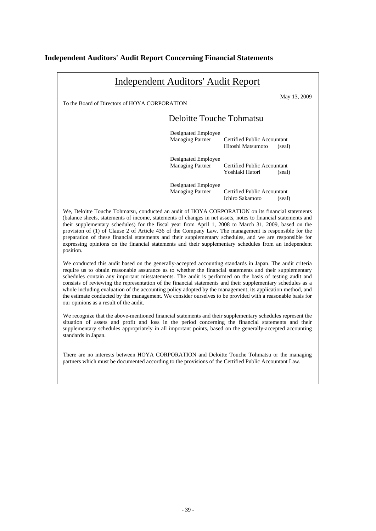## **Independent Auditors' Audit Report Concerning Financial Statements**

| <b>Independent Auditors' Audit Report</b>                                                                                                                                                                                                                                                                                                                                                                                                                                                                                                                                                                                                                            |                                                |                                                                 |  |  |
|----------------------------------------------------------------------------------------------------------------------------------------------------------------------------------------------------------------------------------------------------------------------------------------------------------------------------------------------------------------------------------------------------------------------------------------------------------------------------------------------------------------------------------------------------------------------------------------------------------------------------------------------------------------------|------------------------------------------------|-----------------------------------------------------------------|--|--|
| To the Board of Directors of HOYA CORPORATION                                                                                                                                                                                                                                                                                                                                                                                                                                                                                                                                                                                                                        |                                                |                                                                 |  |  |
|                                                                                                                                                                                                                                                                                                                                                                                                                                                                                                                                                                                                                                                                      | <b>Deloitte Touche Tohmatsu</b>                |                                                                 |  |  |
|                                                                                                                                                                                                                                                                                                                                                                                                                                                                                                                                                                                                                                                                      | Designated Employee<br><b>Managing Partner</b> | Certified Public Accountant<br>Hitoshi Matsumoto<br>(seal)      |  |  |
|                                                                                                                                                                                                                                                                                                                                                                                                                                                                                                                                                                                                                                                                      | Designated Employee<br><b>Managing Partner</b> | Certified Public Accountant<br>Yoshiaki Hatori<br>(seal)        |  |  |
|                                                                                                                                                                                                                                                                                                                                                                                                                                                                                                                                                                                                                                                                      | Designated Employee<br><b>Managing Partner</b> | Certified Public Accountant<br><b>Ichiro Sakamoto</b><br>(seal) |  |  |
| We, Deloitte Touche Tohmatsu, conducted an audit of HOYA CORPORATION on its financial statements<br>(balance sheets, statements of income, statements of changes in net assets, notes to financial statements and<br>their supplementary schedules) for the fiscal year from April 1, 2008 to March 31, 2009, based on the<br>provision of (1) of Clause 2 of Article 436 of the Company Law. The management is responsible for the<br>preparation of these financial statements and their supplementary schedules, and we are responsible for<br>expressing opinions on the financial statements and their supplementary schedules from an independent<br>position. |                                                |                                                                 |  |  |
| We conducted this audit based on the generally-accepted accounting standards in Japan. The audit criteria<br>require us to obtain reasonable assurance as to whether the financial statements and their supplementary                                                                                                                                                                                                                                                                                                                                                                                                                                                |                                                |                                                                 |  |  |

require us to obtain reasonable assurance as to whether the financial statements and their supplementary schedules contain any important misstatements. The audit is performed on the basis of testing audit and consists of reviewing the representation of the financial statements and their supplementary schedules as a whole including evaluation of the accounting policy adopted by the management, its application method, and the estimate conducted by the management. We consider ourselves to be provided with a reasonable basis for our opinions as a result of the audit.

We recognize that the above-mentioned financial statements and their supplementary schedules represent the situation of assets and profit and loss in the period concerning the financial statements and their supplementary schedules appropriately in all important points, based on the generally-accepted accounting standards in Japan.

There are no interests between HOYA CORPORATION and Deloitte Touche Tohmatsu or the managing partners which must be documented according to the provisions of the Certified Public Accountant Law.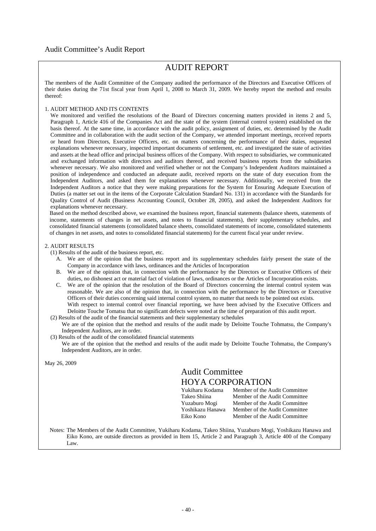## Audit Committee's Audit Report

# AUDIT REPORT

The members of the Audit Committee of the Company audited the performance of the Directors and Executive Officers of their duties during the 71st fiscal year from April 1, 2008 to March 31, 2009. We hereby report the method and results thereof:

### 1. AUDIT METHOD AND ITS CONTENTS

We monitored and verified the resolutions of the Board of Directors concerning matters provided in items 2 and 5, Paragraph 1, Article 416 of the Companies Act and the state of the system (internal control system) established on the basis thereof. At the same time, in accordance with the audit policy, assignment of duties, etc. determined by the Audit Committee and in collaboration with the audit section of the Company, we attended important meetings, received reports or heard from Directors, Executive Officers, etc. on matters concerning the performance of their duties, requested explanations whenever necessary, inspected important documents of settlement, etc. and investigated the state of activities and assets at the head office and principal business offices of the Company. With respect to subsidiaries, we communicated and exchanged information with directors and auditors thereof, and received business reports from the subsidiaries whenever necessary. We also monitored and verified whether or not the Company's Independent Auditors maintained a position of independence and conducted an adequate audit, received reports on the state of duty execution from the Independent Auditors, and asked them for explanations whenever necessary. Additionally, we received from the Independent Auditors a notice that they were making preparations for the System for Ensuring Adequate Execution of Duties (a matter set out in the items of the Corporate Calculation Standard No. 131) in accordance with the Standards for Quality Control of Audit (Business Accounting Council, October 28, 2005), and asked the Independent Auditors for explanations whenever necessary.

Based on the method described above, we examined the business report, financial statements (balance sheets, statements of income, statements of changes in net assets, and notes to financial statements), their supplementary schedules, and consolidated financial statements (consolidated balance sheets, consolidated statements of income, consolidated statements of changes in net assets, and notes to consolidated financial statements) for the current fiscal year under review.

### 2. AUDIT RESULTS

(1) Results of the audit of the business report, etc.

- A. We are of the opinion that the business report and its supplementary schedules fairly present the state of the Company in accordance with laws, ordinances and the Articles of Incorporation
- B. We are of the opinion that, in connection with the performance by the Directors or Executive Officers of their duties, no dishonest act or material fact of violation of laws, ordinances or the Articles of Incorporation exists.
- C. We are of the opinion that the resolution of the Board of Directors concerning the internal control system was reasonable. We are also of the opinion that, in connection with the performance by the Directors or Executive Officers of their duties concerning said internal control system, no matter that needs to be pointed out exists. With respect to internal control over financial reporting, we have been advised by the Executive Officers and Deloitte Touche Tomatsu that no significant defects were noted at the time of preparation of this audit report.
- (2) Results of the audit of the financial statements and their supplementary schedules We are of the opinion that the method and results of the audit made by Deloitte Touche Tohmatsu, the Company's Independent Auditors, are in order.
- (3) Results of the audit of the consolidated financial statements We are of the opinion that the method and results of the audit made by Deloitte Touche Tohmatsu, the Company's Independent Auditors, are in order.

May 26, 2009

# Audit Committee HOYA CORPORATION

| Yukiharu Kodama  | Member of the Audit Committee |
|------------------|-------------------------------|
|                  |                               |
| Takeo Shiina     | Member of the Audit Committee |
| Yuzaburo Mogi    | Member of the Audit Committee |
| Yoshikazu Hanawa | Member of the Audit Committee |
| Eiko Kono        | Member of the Audit Committee |

Notes: The Members of the Audit Committee, Yukiharu Kodama, Takeo Shiina, Yuzaburo Mogi, Yoshikazu Hanawa and Eiko Kono, are outside directors as provided in Item 15, Article 2 and Paragraph 3, Article 400 of the Company Law.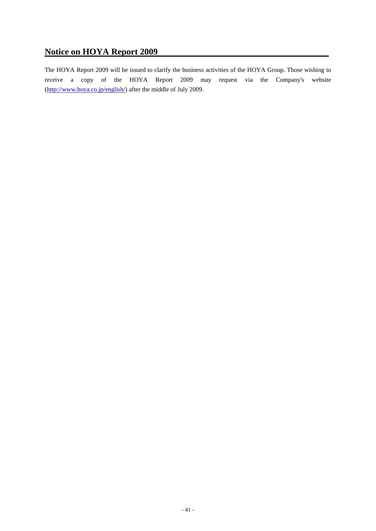# **Notice on HOYA Report 2009**

The HOYA Report 2009 will be issued to clarify the business activities of the HOYA Group. Those wishing to receive a copy of the HOYA Report 2009 may request via the Company's website (http://www.hoya.co.jp/english/) after the middle of July 2009.